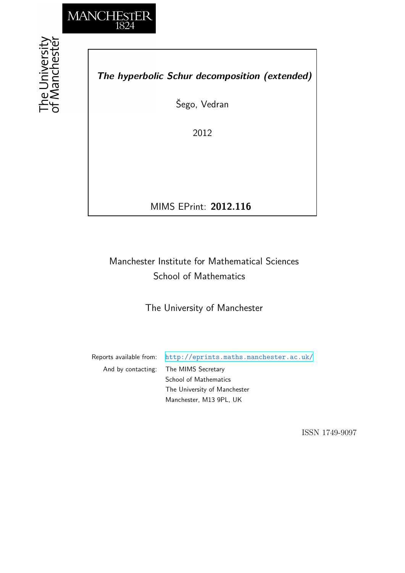

the University<br>f Manchestei

*The hyperbolic Schur decomposition (extended)*

Šego, Vedran

2012

MIMS EPrint: **2012.116**

# Manchester Institute for Mathematical Sciences School of Mathematics

The University of Manchester

Reports available from: <http://eprints.maths.manchester.ac.uk/> And by contacting: The MIMS Secretary School of Mathematics

The University of Manchester Manchester, M13 9PL, UK

ISSN 1749-9097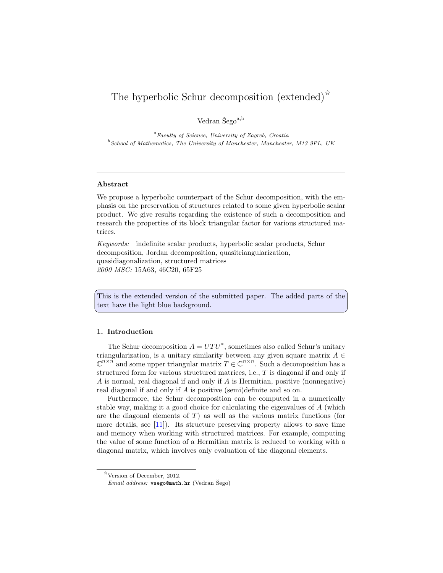# The hyperbolic Schur decomposition (extended)<sup> $\hat{\mathbf{x}}$ </sup>

Vedran $\check{\mathrm{Sego}}^{\mathrm{a,b}}$ 

<sup>a</sup> Faculty of Science, University of Zagreb, Croatia <sup>b</sup> School of Mathematics, The University of Manchester, Manchester, M13 9PL, UK

# Abstract

We propose a hyperbolic counterpart of the Schur decomposition, with the emphasis on the preservation of structures related to some given hyperbolic scalar product. We give results regarding the existence of such a decomposition and research the properties of its block triangular factor for various structured matrices.

Keywords: indefinite scalar products, hyperbolic scalar products, Schur decomposition, Jordan decomposition, quasitriangularization, quasidiagonalization, structured matrices 2000 MSC: 15A63, 46C20, 65F25

This is the extended version of the submitted paper. The added parts of the text have the light blue background.

#### 1. Introduction

The Schur decomposition  $A = UTU^*$ , sometimes also called Schur's unitary triangularization, is a unitary similarity between any given square matrix  $A \in$  $\mathbb{C}^{n \times n}$  and some upper triangular matrix  $T \in \mathbb{C}^{n \times n}$ . Such a decomposition has a structured form for various structured matrices, i.e., T is diagonal if and only if A is normal, real diagonal if and only if A is Hermitian, positive (nonnegative) real diagonal if and only if A is positive (semi)definite and so on.

Furthermore, the Schur decomposition can be computed in a numerically stable way, making it a good choice for calculating the eigenvalues of A (which are the diagonal elements of  $T$ ) as well as the various matrix functions (for more details, see [\[11](#page-33-0)]). Its structure preserving property allows to save time and memory when working with structured matrices. For example, computing the value of some function of a Hermitian matrix is reduced to working with a diagonal matrix, which involves only evaluation of the diagonal elements.

 $*$  Version of December, 2012.

Email address: vsego@math.hr (Vedran Šego)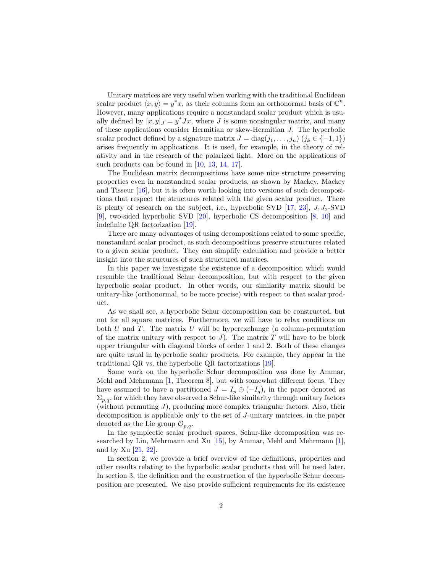Unitary matrices are very useful when working with the traditional Euclidean scalar product  $\langle x, y \rangle = y^*x$ , as their columns form an orthonormal basis of  $\mathbb{C}^n$ . However, many applications require a nonstandard scalar product which is usually defined by  $[x, y]_J = y^* Jx$ , where J is some nonsingular matrix, and many of these applications consider Hermitian or skew-Hermitian J. The hyperbolic scalar product defined by a signature matrix  $J = diag(j_1, \ldots, j_n)$   $(j_k \in \{-1, 1\})$ arises frequently in applications. It is used, for example, in the theory of relativity and in the research of the polarized light. More on the applications of such products can be found in [\[10,](#page-33-1) [13,](#page-33-2) [14,](#page-33-3) [17\]](#page-33-4).

The Euclidean matrix decompositions have some nice structure preserving properties even in nonstandard scalar products, as shown by Mackey, Mackey and Tisseur [\[16\]](#page-33-5), but it is often worth looking into versions of such decompositions that respect the structures related with the given scalar product. There is plenty of research on the subject, i.e., hyperbolic SVD  $[17, 23]$  $[17, 23]$  $[17, 23]$ ,  $J_1J_2$ -SVD [\[9\]](#page-33-6), two-sided hyperbolic SVD [\[20](#page-34-1)], hyperbolic CS decomposition [\[8,](#page-33-7) [10](#page-33-1)] and indefinite QR factorization [\[19](#page-34-2)].

There are many advantages of using decompositions related to some specific, nonstandard scalar product, as such decompositions preserve structures related to a given scalar product. They can simplify calculation and provide a better insight into the structures of such structured matrices.

In this paper we investigate the existence of a decomposition which would resemble the traditional Schur decomposition, but with respect to the given hyperbolic scalar product. In other words, our similarity matrix should be unitary-like (orthonormal, to be more precise) with respect to that scalar product.

As we shall see, a hyperbolic Schur decomposition can be constructed, but not for all square matrices. Furthermore, we will have to relax conditions on both  $U$  and  $T$ . The matrix  $U$  will be hyperexchange (a column-permutation of the matrix unitary with respect to  $J$ ). The matrix  $T$  will have to be block upper triangular with diagonal blocks of order 1 and 2. Both of these changes are quite usual in hyperbolic scalar products. For example, they appear in the traditional QR vs. the hyperbolic QR factorizations [\[19\]](#page-34-2).

Some work on the hyperbolic Schur decomposition was done by Ammar, Mehl and Mehrmann [\[1,](#page-32-0) Theorem 8], but with somewhat different focus. They have assumed to have a partitioned  $J = I_p \oplus (-I_q)$ , in the paper denoted as  $\Sigma_{p,q}$ , for which they have observed a Schur-like similarity through unitary factors (without permuting  $J$ ), producing more complex triangular factors. Also, their decomposition is applicable only to the set of J-unitary matrices, in the paper denoted as the Lie group  $\mathcal{O}_{p,q}$ .

In the symplectic scalar product spaces, Schur-like decomposition was researched by Lin, Mehrmann and Xu [\[15](#page-33-8)], by Ammar, Mehl and Mehrmann [\[1\]](#page-32-0), and by Xu [\[21](#page-34-3), [22](#page-34-4)].

In section 2, we provide a brief overview of the definitions, properties and other results relating to the hyperbolic scalar products that will be used later. In section 3, the definition and the construction of the hyperbolic Schur decomposition are presented. We also provide sufficient requirements for its existence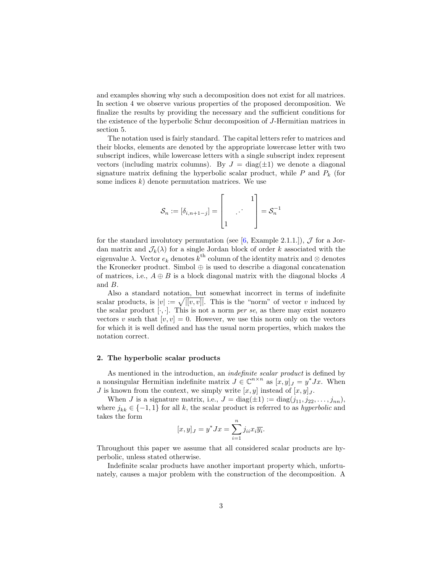and examples showing why such a decomposition does not exist for all matrices. In section 4 we observe various properties of the proposed decomposition. We finalize the results by providing the necessary and the sufficient conditions for the existence of the hyperbolic Schur decomposition of J-Hermitian matrices in section 5.

The notation used is fairly standard. The capital letters refer to matrices and their blocks, elements are denoted by the appropriate lowercase letter with two subscript indices, while lowercase letters with a single subscript index represent vectors (including matrix columns). By  $J = \text{diag}(\pm 1)$  we denote a diagonal signature matrix defining the hyperbolic scalar product, while  $P$  and  $P_k$  (for some indices  $k$ ) denote permutation matrices. We use

$$
\mathcal{S}_n := [\delta_{i,n+1-j}] = \begin{bmatrix} & & 1 \\ & \cdot & \cdot & \\ 1 & & \end{bmatrix} = \mathcal{S}_n^{-1}
$$

for the standard involutory permutation (see [\[6,](#page-33-9) Example 2.1.1.]),  $\mathcal J$  for a Jordan matrix and  $\mathcal{J}_k(\lambda)$  for a single Jordan block of order k associated with the eigenvalue  $\lambda$ . Vector  $e_k$  denotes  $k^{\text{th}}$  column of the identity matrix and  $\otimes$  denotes the Kronecker product. Simbol  $\oplus$  is used to describe a diagonal concatenation of matrices, i.e.,  $A \oplus B$  is a block diagonal matrix with the diagonal blocks A and B.

Also a standard notation, but somewhat incorrect in terms of indefinite scalar products, is  $|v| := \sqrt{[(v, v)]}$ . This is the "norm" of vector v induced by the scalar product  $[\cdot, \cdot]$ . This is not a norm *per se*, as there may exist nonzero vectors v such that  $[v, v] = 0$ . However, we use this norm only on the vectors for which it is well defined and has the usual norm properties, which makes the notation correct.

## 2. The hyperbolic scalar products

As mentioned in the introduction, an *indefinite scalar product* is defined by a nonsingular Hermitian indefinite matrix  $J \in \mathbb{C}^{n \times n}$  as  $[x, y]_J = y^*Jx$ . When J is known from the context, we simply write  $[x, y]$  instead of  $[x, y]_J$ .

When *J* is a signature matrix, i.e.,  $J = \text{diag}(\pm 1) := \text{diag}(j_{11}, j_{22}, \ldots, j_{nn}),$ where  $j_{kk} \in \{-1,1\}$  for all k, the scalar product is referred to as hyperbolic and takes the form

$$
[x, y]_J = y^* Jx = \sum_{i=1}^n j_{ii} x_i \overline{y_i}.
$$

Throughout this paper we assume that all considered scalar products are hyperbolic, unless stated otherwise.

Indefinite scalar products have another important property which, unfortunately, causes a major problem with the construction of the decomposition. A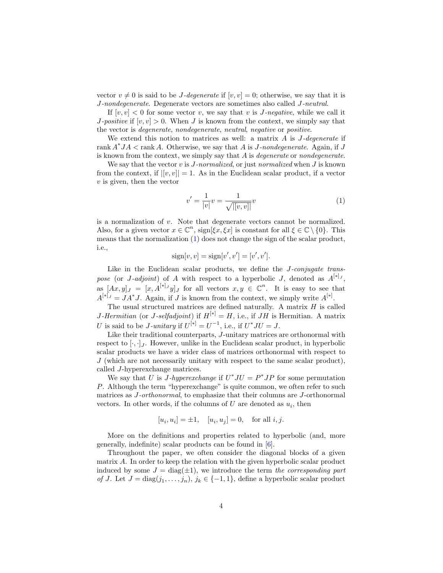vector  $v \neq 0$  is said to be *J*-degenerate if  $[v, v] = 0$ ; otherwise, we say that it is J-nondegenerate. Degenerate vectors are sometimes also called J-neutral.

If  $[v, v] < 0$  for some vector v, we say that v is *J*-negative, while we call it J-positive if  $[v, v] > 0$ . When J is known from the context, we simply say that the vector is degenerate, nondegenerate, neutral, negative or positive.

We extend this notion to matrices as well: a matrix  $A$  is  $J$ -degenerate if rank  $A^*JA < \text{rank }A$ . Otherwise, we say that A is *J*-nondegenerate. Again, if *J* is known from the context, we simply say that  $A$  is *degenerate* or *nondegenerate*.

We say that the vector  $v$  is  $J$ -normalized, or just normalized when  $J$  is known from the context, if  $|[v, v]| = 1$ . As in the Euclidean scalar product, if a vector  $v$  is given, then the vector

<span id="page-4-0"></span>
$$
v' = \frac{1}{|v|}v = \frac{1}{\sqrt{|[v,v]|}}v\tag{1}
$$

is a normalization of v. Note that degenerate vectors cannot be normalized. Also, for a given vector  $x \in \mathbb{C}^n$ ,  $\text{sign}[\xi x, \xi x]$  is constant for all  $\xi \in \mathbb{C} \setminus \{0\}$ . This means that the normalization [\(1\)](#page-4-0) does not change the sign of the scalar product, i.e.,

$$
sign[v, v] = sign[v', v'] = [v', v'].
$$

Like in the Euclidean scalar products, we define the *J-conjugate trans*pose (or J-adjoint) of A with respect to a hyperbolic J, denoted as  $A^{[*]}$ , as  $[Ax, y]_J = [x, A^{[*]}y]_J$  for all vectors  $x, y \in \mathbb{C}^n$ . It is easy to see that  $A^{[*]}J = JA^*J$ . Again, if J is known from the context, we simply write  $A^{[*]}$ .

The usual structured matrices are defined naturally. A matrix  $H$  is called *J*-Hermitian (or *J*-selfadjoint) if  $H^{[*]} = H$ , i.e., if *JH* is Hermitian. A matrix U is said to be J-unitary if  $U^{[*]} = U^{-1}$ , i.e., if  $U^*JU = J$ .

Like their traditional counterparts, J-unitary matrices are orthonormal with respect to  $[\cdot, \cdot]_I$ . However, unlike in the Euclidean scalar product, in hyperbolic scalar products we have a wider class of matrices orthonormal with respect to  $J$  (which are not necessarily unitary with respect to the same scalar product), called J-hyperexchange matrices.

We say that U is *J*-hyperexchange if  $U^*JU = P^*JP$  for some permutation P. Although the term "hyperexchange" is quite common, we often refer to such matrices as J-orthonormal, to emphasize that their columns are J-orthonormal vectors. In other words, if the columns of  $U$  are denoted as  $u_i$ , then

$$
[u_i, u_i] = \pm 1
$$
,  $[u_i, u_j] = 0$ , for all  $i, j$ .

More on the definitions and properties related to hyperbolic (and, more generally, indefinite) scalar products can be found in [\[6](#page-33-9)].

Throughout the paper, we often consider the diagonal blocks of a given matrix A. In order to keep the relation with the given hyperbolic scalar product induced by some  $J = \text{diag}(\pm 1)$ , we introduce the term the corresponding part of J. Let  $J = diag(j_1, \ldots, j_n), j_k \in \{-1, 1\}$ , define a hyperbolic scalar product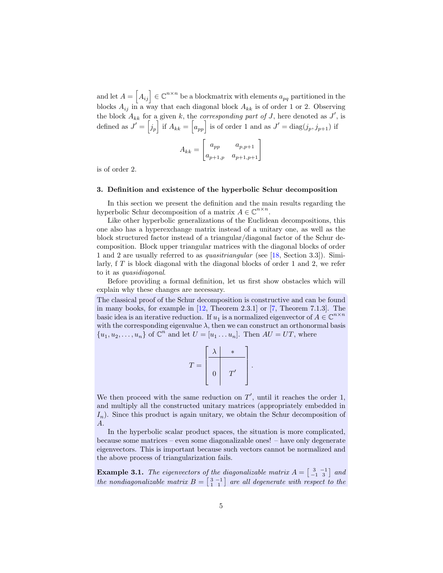and let  $A = \begin{bmatrix} A_{ij} \end{bmatrix} \in \mathbb{C}^{n \times n}$  be a blockmatrix with elements  $a_{pq}$  partitioned in the blocks  $A_{ij}$  in a way that each diagonal block  $A_{kk}$  is of order 1 or 2. Observing the block  $A_{kk}$  for a given k, the *corresponding part of* J, here denoted as J', is defined as  $J' = \begin{bmatrix} j_p \end{bmatrix}$  if  $A_{kk} = \begin{bmatrix} a_{pp} \end{bmatrix}$  is of order 1 and as  $J' = \text{diag}(j_p, j_{p+1})$  if

$$
A_{kk} = \begin{bmatrix} a_{pp} & a_{p,p+1} \\ a_{p+1,p} & a_{p+1,p+1} \end{bmatrix}
$$

is of order 2.

## 3. Definition and existence of the hyperbolic Schur decomposition

In this section we present the definition and the main results regarding the hyperbolic Schur decomposition of a matrix  $A \in \mathbb{C}^{n \times n}$ .

Like other hyperbolic generalizations of the Euclidean decompositions, this one also has a hyperexchange matrix instead of a unitary one, as well as the block structured factor instead of a triangular/diagonal factor of the Schur decomposition. Block upper triangular matrices with the diagonal blocks of order 1 and 2 are usually referred to as quasitriangular (see [\[18](#page-33-10), Section 3.3]). Similarly,  $f T$  is block diagonal with the diagonal blocks of order 1 and 2, we refer to it as quasidiagonal.

Before providing a formal definition, let us first show obstacles which will explain why these changes are necessary.

The classical proof of the Schur decomposition is constructive and can be found in many books, for example in [\[12](#page-33-11), Theorem 2.3.1] or [\[7](#page-33-12), Theorem 7.1.3]. The basic idea is an iterative reduction. If  $u_1$  is a normalized eigenvector of  $A \in \mathbb{C}^{n \times n}$ with the corresponding eigenvalue  $\lambda$ , then we can construct an orthonormal basis  $\{u_1, u_2, \ldots, u_n\}$  of  $\mathbb{C}^n$  and let  $U = [u_1 \ldots u_n]$ . Then  $AU = UT$ , where

$$
T = \begin{bmatrix} \lambda & * & \\ \hline & & \\ 0 & T' & \end{bmatrix}
$$

.

We then proceed with the same reduction on  $T'$ , until it reaches the order 1, and multiply all the constructed unitary matrices (appropriately embedded in  $I_n$ ). Since this product is again unitary, we obtain the Schur decomposition of A.

In the hyperbolic scalar product spaces, the situation is more complicated, because some matrices – even some diagonalizable ones! – have only degenerate eigenvectors. This is important because such vectors cannot be normalized and the above process of triangularization fails.

**Example 3.1.** The eigenvectors of the diagonalizable matrix  $A = \begin{bmatrix} 3 & -1 \\ -1 & 3 \end{bmatrix}$  and the nondiagonalizable matrix  $B = \begin{bmatrix} 3 & -1 \\ 1 & 1 \end{bmatrix}$  are all degenerate with respect to the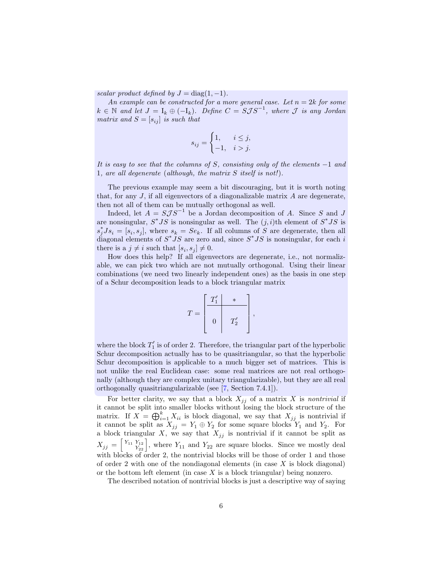scalar product defined by  $J = \text{diag}(1, -1)$ .

An example can be constructed for a more general case. Let  $n = 2k$  for some  $k \in \mathbb{N}$  and let  $J = I_k \oplus (-I_k)$ . Define  $C = S \mathcal{J} S^{-1}$ , where  $\mathcal J$  is any Jordan matrix and  $S = [s_{ij}]$  is such that

$$
s_{ij} = \begin{cases} 1, & i \leq j, \\ -1, & i > j. \end{cases}
$$

It is easy to see that the columns of S, consisting only of the elements  $-1$  and 1, are all degenerate (although, the matrix S itself is not!).

The previous example may seem a bit discouraging, but it is worth noting that, for any  $J$ , if all eigenvectors of a diagonalizable matrix  $A$  are degenerate, then not all of them can be mutually orthogonal as well.

Indeed, let  $A = S \mathcal{J} S^{-1}$  be a Jordan decomposition of A. Since S and J are nonsingular,  $S^*JS$  is nonsingular as well. The  $(j,i)$ th element of  $S^*JS$  is  $s_j^* J s_i = [s_i, s_j],$  where  $s_k = S e_k$ . If all columns of S are degenerate, then all diagonal elements of  $S^*JS$  are zero and, since  $S^*JS$  is nonsingular, for each i there is a  $j \neq i$  such that  $[s_i, s_j] \neq 0$ .

How does this help? If all eigenvectors are degenerate, i.e., not normalizable, we can pick two which are not mutually orthogonal. Using their linear combinations (we need two linearly independent ones) as the basis in one step of a Schur decomposition leads to a block triangular matrix

$$
T = \left[\begin{array}{c|c} T_1' & * & \\ \hline & & \\ 0 & & T_2' \\ \end{array}\right],
$$

where the block  $T_1'$  is of order 2. Therefore, the triangular part of the hyperbolic Schur decomposition actually has to be quasitriangular, so that the hyperbolic Schur decomposition is applicable to a much bigger set of matrices. This is not unlike the real Euclidean case: some real matrices are not real orthogonally (although they are complex unitary triangularizable), but they are all real orthogonally quasitriangularizable (see [\[7](#page-33-12), Section 7.4.1]).

For better clarity, we say that a block  $X_{ij}$  of a matrix X is nontrivial if it cannot be split into smaller blocks without losing the block structure of the matrix. If  $X = \bigoplus_{i=1}^k X_{ii}$  is block diagonal, we say that  $X_{jj}$  is nontrivial if it cannot be split as  $X_{jj} = Y_1 \oplus Y_2$  for some square blocks  $Y_1$  and  $Y_2$ . For a block triangular X, we say that  $X_{jj}$  is nontrivial if it cannot be split as  $X_{jj} = \begin{bmatrix} Y_{11} & Y_{12} \\ Y_{22} \end{bmatrix}$ , where  $Y_{11}$  and  $Y_{22}$  are square blocks. Since we mostly deal with blocks of order 2, the nontrivial blocks will be those of order 1 and those of order 2 with one of the nondiagonal elements (in case  $X$  is block diagonal) or the bottom left element (in case  $X$  is a block triangular) being nonzero.

The described notation of nontrivial blocks is just a descriptive way of saying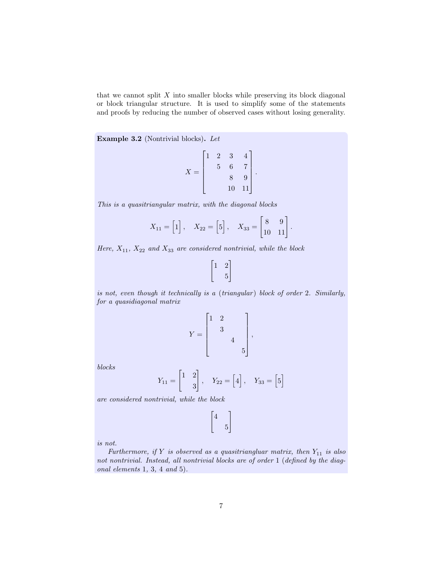that we cannot split  $X$  into smaller blocks while preserving its block diagonal or block triangular structure. It is used to simplify some of the statements and proofs by reducing the number of observed cases without losing generality.

Example 3.2 (Nontrivial blocks). Let

$$
X = \begin{bmatrix} 1 & 2 & 3 & 4 \\ & 5 & 6 & 7 \\ & & 8 & 9 \\ & & 10 & 11 \end{bmatrix}.
$$

This is a quasitriangular matrix, with the diagonal blocks

$$
X_{11} = \begin{bmatrix} 1 \end{bmatrix}, \quad X_{22} = \begin{bmatrix} 5 \end{bmatrix}, \quad X_{33} = \begin{bmatrix} 8 & 9 \\ 10 & 11 \end{bmatrix}.
$$

Here,  $X_{11}$ ,  $X_{22}$  and  $X_{33}$  are considered nontrivial, while the block

$$
\begin{bmatrix} 1 & 2 \\ & 5 \end{bmatrix}
$$

is not, even though it technically is a (triangular) block of order 2. Similarly, for a quasidiagonal matrix

$$
Y = \begin{bmatrix} 1 & 2 & & \\ & 3 & & \\ & & 4 & \\ & & & 5 \end{bmatrix},
$$

blocks

$$
Y_{11} = \begin{bmatrix} 1 & 2 \\ & 3 \end{bmatrix}, \quad Y_{22} = \begin{bmatrix} 4 \end{bmatrix}, \quad Y_{33} = \begin{bmatrix} 5 \end{bmatrix}
$$

are considered nontrivial, while the block

$$
\begin{bmatrix} 4 & \\ & 5 \end{bmatrix}
$$

is not.

Furthermore, if  $Y$  is observed as a quasitriangluar matrix, then  $Y_{11}$  is also not nontrivial. Instead, all nontrivial blocks are of order 1 (defined by the diagonal elements 1, 3, 4 and 5).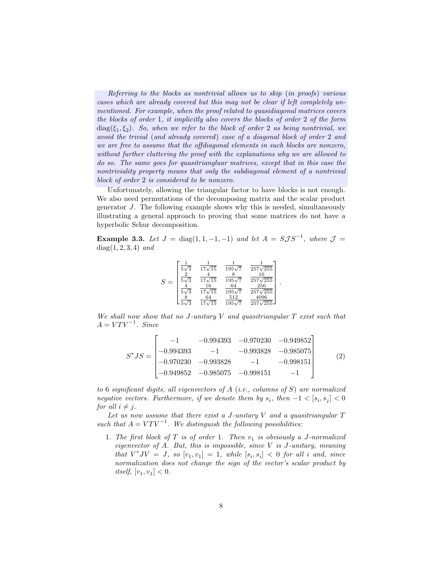Referring to the blocks as nontrivial allows us to skip (in proofs) various cases which are already covered but this may not be clear if left completely unmentioned. For example, when the proof related to quasidiagonal matrices covers the blocks of order 1, it implicitly also covers the blocks of order 2 of the form  $diag(\xi_1,\xi_2)$ . So, when we refer to the block of order 2 as being nontrivial, we avoid the trivial (and already covered) case of a diagonal block of order 2 and we are free to assume that the offdiagonal elements in such blocks are nonzero, without further cluttering the proof with the explanations why we are allowed to do so. The same goes for quasitriangluar matrices, except that in this case the nontriviality property means that only the subdiagonal element of a nontrivial block of order 2 is considered to be nonzero.

Unfortunately, allowing the triangular factor to have blocks is not enough. We also need permutations of the decomposing matrix and the scalar product generator J. The following example shows why this is needed, simultaneously illustrating a general approach to proving that some matrices do not have a hyperbolic Schur decomposition.

<span id="page-8-1"></span>**Example 3.3.** Let  $J = diag(1, 1, -1, -1)$  and let  $A = SJS^{-1}$ , where  $J =$  $diag(1, 2, 3, 4)$  and

$$
S = \begin{bmatrix} \frac{1}{5\sqrt{3}} & \frac{1}{17\sqrt{15}} & \frac{1}{195\sqrt{7}} & \frac{1}{257\sqrt{255}}\\ \frac{2}{5\sqrt{3}} & \frac{4}{17\sqrt{15}} & \frac{8}{195\sqrt{7}} & \frac{16}{257\sqrt{255}}\\ \frac{4}{5\sqrt{3}} & \frac{16}{17\sqrt{15}} & \frac{64}{195\sqrt{7}} & \frac{256}{257\sqrt{255}}\\ \frac{8}{5\sqrt{3}} & \frac{64}{17\sqrt{15}} & \frac{512}{195\sqrt{7}} & \frac{4096}{257\sqrt{255}} \end{bmatrix}.
$$

We shall now show that no J-unitary V and quasitriangular  $T$  exist such that  $A = VTV^{-1}$ . Since

<span id="page-8-0"></span>
$$
S^*JS = \begin{bmatrix} -1 & -0.994393 & -0.970230 & -0.949852 \\ -0.994393 & -1 & -0.993828 & -0.985075 \\ -0.970230 & -0.993828 & -1 & -0.998151 \\ -0.949852 & -0.985075 & -0.998151 & -1 \end{bmatrix}
$$
(2)

to 6 significant digits, all eigenvectors of  $A$  (i.e., columns of  $S$ ) are normalized negative vectors. Furthermore, if we denote them by  $s_i$ , then  $-1 < [s_i, s_j] < 0$ for all  $i \neq j$ .

Let us now assume that there exist a J-unitary  $V$  and a quasitriangular  $T$ such that  $A = VTV^{-1}$ . We distinguish the following possibilities:

1. The first block of  $T$  is of order 1. Then  $v_1$  is obviously a J-normalized eigenvector of  $A$ . But, this is impossible, since  $V$  is  $J$ -unitary, meaning that  $V^*JV = J$ , so  $[v_1, v_1] = 1$ , while  $[s_i, s_i] < 0$  for all i and, since normalization does not change the sign of the vector's scalar product by *itself*,  $[v_1, v_1] < 0$ .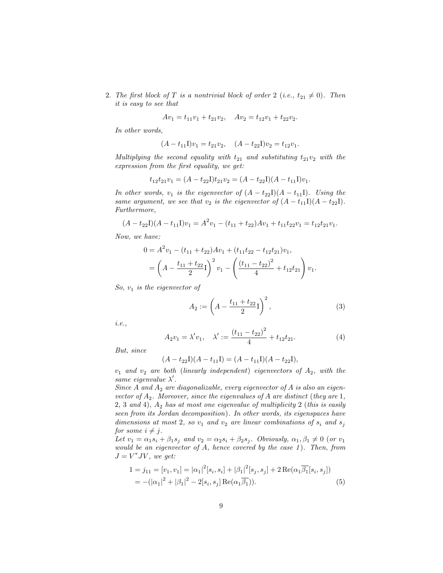2. The first block of T is a nontrivial block of order 2 (i.e.,  $t_{21} \neq 0$ ). Then it is easy to see that

$$
Av_1 = t_{11}v_1 + t_{21}v_2, \quad Av_2 = t_{12}v_1 + t_{22}v_2.
$$

In other words,

$$
(A - t_{11}I)v_1 = t_{21}v_2, \quad (A - t_{22}I)v_2 = t_{12}v_1.
$$

Multiplying the second equality with  $t_{21}$  and substituting  $t_{21}v_2$  with the expression from the first equality, we get:

$$
t_{12}t_{21}v_1 = (A - t_{22}I)t_{21}v_2 = (A - t_{22}I)(A - t_{11}I)v_1.
$$

In other words,  $v_1$  is the eigenvector of  $(A - t_{22}) (A - t_{11})$ . Using the same argument, we see that  $v_2$  is the eigenvector of  $(A - t_{11}I)(A - t_{22}I)$ . Furthermore,

$$
(A - t_{22}I)(A - t_{11}I)v_1 = A^2v_1 - (t_{11} + t_{22})Av_1 + t_{11}t_{22}v_1 = t_{12}t_{21}v_1.
$$

Now, we have:

$$
0 = A2v1 - (t11 + t22)Av1 + (t11t22 - t12t21)v1,
$$
  
=  $\left(A - \frac{t_{11} + t_{22}}{2}I\right)^2 v_1 - \left(\frac{(t_{11} - t_{22})^2}{4} + t_{12}t_{21}\right)v_1.$ 

 $So, v_1$  is the eigenvector of

$$
A_2 := \left(A - \frac{t_{11} + t_{22}}{2}I\right)^2,\tag{3}
$$

i.e.,

$$
A_2v_1 = \lambda' v_1, \quad \lambda' := \frac{(t_{11} - t_{22})^2}{4} + t_{12}t_{21}.
$$
 (4)

But, since

$$
(A - t_{22}I)(A - t_{11}I) = (A - t_{11}I)(A - t_{22}I),
$$

 $v_1$  and  $v_2$  are both (linearly independent) eigenvectors of  $A_2$ , with the same eigenvalue  $\lambda'$ .

Since A and  $A_2$  are diagonalizable, every eigenvector of A is also an eigenvector of  $A_2$ . Moreover, since the eigenvalues of A are distinct (they are 1,  $2, 3$  and  $4), A<sub>2</sub>$  has at most one eigenvalue of multiplicity 2 (this is easily seen from its Jordan decomposition). In other words, its eigenspaces have dimensions at most 2, so  $v_1$  and  $v_2$  are linear combinations of  $s_i$  and  $s_j$ for some  $i \neq j$ .

Let  $v_1 = \alpha_1 s_i + \beta_1 s_j$  and  $v_2 = \alpha_2 s_i + \beta_2 s_j$ . Obviously,  $\alpha_1, \beta_1 \neq 0$  (or  $v_1$ would be an eigenvector of  $A$ , hence covered by the case  $1$ ). Then, from  $J = V^*JV$ , we get:

<span id="page-9-0"></span>
$$
1 = j_{11} = [v_1, v_1] = |\alpha_1|^2 [s_i, s_i] + |\beta_1|^2 [s_j, s_j] + 2 \operatorname{Re}(\alpha_1 \overline{\beta_1} [s_i, s_j])
$$
  
= -(|\alpha\_1|^2 + |\beta\_1|^2 - 2[s\_i, s\_j] \operatorname{Re}(\alpha\_1 \overline{\beta\_1})). (5)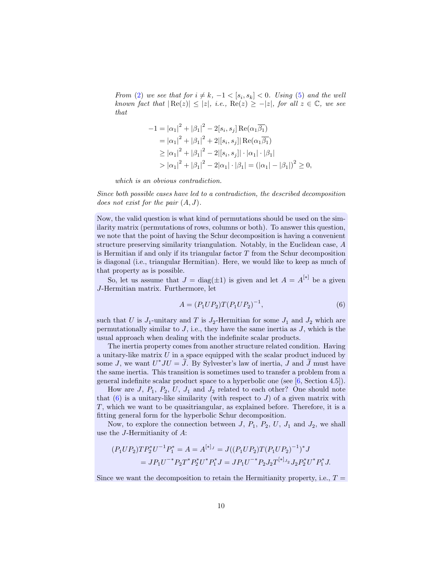From [\(2\)](#page-8-0) we see that for  $i \neq k, -1 < [s_i, s_k] < 0$ . Using [\(5\)](#page-9-0) and the well known fact that  $|\text{Re}(z)| \leq |z|$ , i.e.,  $\text{Re}(z) \geq -|z|$ , for all  $z \in \mathbb{C}$ , we see that

$$
-1 = |\alpha_1|^2 + |\beta_1|^2 - 2[s_i, s_j] \operatorname{Re}(\alpha_1 \overline{\beta_1})
$$
  
\n
$$
= |\alpha_1|^2 + |\beta_1|^2 + 2|[s_i, s_j]| \operatorname{Re}(\alpha_1 \overline{\beta_1})
$$
  
\n
$$
\geq |\alpha_1|^2 + |\beta_1|^2 - 2|[s_i, s_j]| \cdot |\alpha_1| \cdot |\beta_1|
$$
  
\n
$$
> |\alpha_1|^2 + |\beta_1|^2 - 2|\alpha_1| \cdot |\beta_1| = (|\alpha_1| - |\beta_1|)^2 \geq 0,
$$

which is an obvious contradiction.

Since both possible cases have led to a contradiction, the described decomposition does not exist for the pair  $(A, J)$ .

Now, the valid question is what kind of permutations should be used on the similarity matrix (permutations of rows, columns or both). To answer this question, we note that the point of having the Schur decomposition is having a convenient structure preserving similarity triangulation. Notably, in the Euclidean case, A is Hermitian if and only if its triangular factor T from the Schur decomposition is diagonal (i.e., triangular Hermitian). Here, we would like to keep as much of that property as is possible.

So, let us assume that  $J = \text{diag}(\pm 1)$  is given and let  $A = A^{[*]}$  be a given J-Hermitian matrix. Furthermore, let

<span id="page-10-0"></span>
$$
A = (P_1 U P_2) T (P_1 U P_2)^{-1}, \tag{6}
$$

such that U is  $J_1$ -unitary and T is  $J_2$ -Hermitian for some  $J_1$  and  $J_2$  which are permutationally similar to  $J$ , i.e., they have the same inertia as  $J$ , which is the usual approach when dealing with the indefinite scalar products.

The inertia property comes from another structure related condition. Having a unitary-like matrix  $U$  in a space equipped with the scalar product induced by some J, we want  $U^*JU = J$ . By Sylvester's law of inertia, J and J must have the same inertia. This transition is sometimes used to transfer a problem from a general indefinite scalar product space to a hyperbolic one (see [\[6](#page-33-9), Section 4.5]).

How are  $J, P_1, P_2, U, J_1$  and  $J_2$  related to each other? One should note that  $(6)$  is a unitary-like similarity (with respect to  $J$ ) of a given matrix with T, which we want to be quasitriangular, as explained before. Therefore, it is a fitting general form for the hyperbolic Schur decomposition.

Now, to explore the connection between  $J, P_1, P_2, U, J_1$  and  $J_2$ , we shall use the J-Hermitianity of A:

$$
(P_1UP_2)TP_2^*U^{-1}P_1^* = A = A^{[*]}{}^{J} = J((P_1UP_2)T(P_1UP_2)^{-1})^*J
$$
  
=  $JP_1U^{-*}P_2T^*P_2^*U^*P_1^*J = JP_1U^{-*}P_2J_2T^{[*]}{}^{J}{}^{J}D_2^*U^*P_1^*J.$ 

Since we want the decomposition to retain the Hermitianity property, i.e.,  $T =$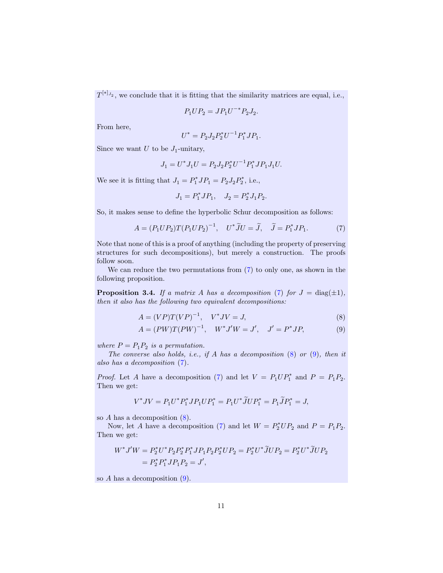$T^{[*]}{}_{J_2}$ , we conclude that it is fitting that the similarity matrices are equal, i.e.,

$$
P_1 U P_2 = J P_1 U^{-*} P_2 J_2.
$$

From here,

$$
U^* = P_2 J_2 P_2^* U^{-1} P_1^* J P_1.
$$

Since we want  $U$  to be  $J_1$ -unitary,

$$
J_1 = U^* J_1 U = P_2 J_2 P_2^* U^{-1} P_1^* J P_1 J_1 U.
$$

We see it is fitting that  $J_1 = P_1^* J P_1 = P_2 J_2 P_2^*$ , i.e.,

$$
J_1 = P_1^* J P_1, \quad J_2 = P_2^* J_1 P_2.
$$

So, it makes sense to define the hyperbolic Schur decomposition as follows:

<span id="page-11-0"></span>
$$
A = (P_1 U P_2) T (P_1 U P_2)^{-1}, \quad U^* \widetilde{J} U = \widetilde{J}, \quad \widetilde{J} = P_1^* J P_1. \tag{7}
$$

Note that none of this is a proof of anything (including the property of preserving structures for such decompositions), but merely a construction. The proofs follow soon.

We can reduce the two permutations from [\(7\)](#page-11-0) to only one, as shown in the following proposition.

**Proposition 3.4.** If a matrix A has a decomposition [\(7\)](#page-11-0) for  $J = \text{diag}(\pm 1)$ , then it also has the following two equivalent decompositions:

<span id="page-11-1"></span>
$$
A = (VP)T(VP)^{-1}, \quad V^*JV = J,\tag{8}
$$

<span id="page-11-2"></span>
$$
A = (PW)T(PW)^{-1}, \quad W^*J'W = J', \quad J' = P^*JP,
$$
\n(9)

where  $P = P_1 P_2$  is a permutation.

The converse also holds, i.e., if A has a decomposition  $(8)$  or  $(9)$ , then it also has a decomposition [\(7\)](#page-11-0).

*Proof.* Let A have a decomposition [\(7\)](#page-11-0) and let  $V = P_1 U P_1^*$  and  $P = P_1 P_2$ . Then we get:

$$
V^*JV = P_1 U^* P_1^* JP_1 U P_1^* = P_1 U^* \widetilde{J} U P_1^* = P_1 \widetilde{J} P_1^* = J,
$$

so A has a decomposition [\(8\)](#page-11-1).

Now, let A have a decomposition [\(7\)](#page-11-0) and let  $W = P_2^* U P_2$  and  $P = P_1 P_2$ . Then we get:

$$
W^* J' W = P_2^* U^* P_2 P_2^* P_1^* J P_1 P_2 P_2^* U P_2 = P_2^* U^* \widetilde{J} U P_2 = P_2^* U^* \widetilde{J} U P_2
$$
  
= 
$$
P_2^* P_1^* J P_1 P_2 = J',
$$

so  $A$  has a decomposition  $(9)$ .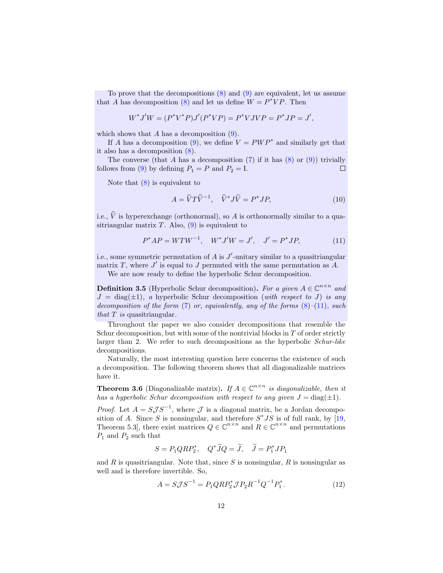To prove that the decompositions [\(8\)](#page-11-1) and [\(9\)](#page-11-2) are equivalent, let us assume that A has decomposition [\(8\)](#page-11-1) and let us define  $W = P^* VP$ . Then

$$
W^* J'W = (P^*V^*P)J'(P^*VP) = P^*VJVP = P^*JP = J',
$$

which shows that A has a decomposition  $(9)$ .

If A has a decomposition [\(9\)](#page-11-2), we define  $V = PWP^*$  and similarly get that it also has a decomposition [\(8\)](#page-11-1).

The converse (that A has a decomposition  $(7)$  if it has  $(8)$  or  $(9)$ ) trivially follows from [\(9\)](#page-11-2) by defining  $P_1 = P$  and  $P_2 = I$ .  $\Box$ 

Note that  $(8)$  is equivalent to

<span id="page-12-3"></span>
$$
A = \widehat{V}T\widehat{V}^{-1}, \quad \widehat{V}^*J\widehat{V} = P^*JP,\tag{10}
$$

i.e.,  $\hat{V}$  is hyperexchange (orthonormal), so A is orthonormally similar to a quasitriangular matrix  $T$ . Also,  $(9)$  is equivalent to

<span id="page-12-0"></span>
$$
P^*AP = WTW^{-1}, \quad W^*J'W = J', \quad J' = P^*JP,\tag{11}
$$

i.e., some symmetric permutation of  $A$  is  $J'$ -unitary similar to a quasitriangular matrix T, where  $J'$  is equal to J permuted with the same permutation as A.

We are now ready to define the hyperbolic Schur decomposition.

<span id="page-12-4"></span>**Definition 3.5** (Hyperbolic Schur decomposition). For a given  $A \in \mathbb{C}^{n \times n}$  and  $J = \text{diag}(\pm 1)$ , a hyperbolic Schur decomposition (with respect to J) is any decomposition of the form  $(7)$  or, equivalently, any of the forms  $(8)$ – $(11)$ , such that  $T$  is quasitriangular.

Throughout the paper we also consider decompositions that resemble the Schur decomposition, but with some of the nontrivial blocks in  $T$  of order strictly larger than 2. We refer to such decompositions as the hyperbolic Schur-like decompositions.

Naturally, the most interesting question here concerns the existence of such a decomposition. The following theorem shows that all diagonalizable matrices have it.

<span id="page-12-2"></span>**Theorem 3.6** (Diagonalizable matrix). If  $A \in \mathbb{C}^{n \times n}$  is diagonalizable, then it has a hyperbolic Schur decomposition with respect to any given  $J = \text{diag}(\pm 1)$ .

*Proof.* Let  $A = S \mathcal{J} S^{-1}$ , where  $\mathcal J$  is a diagonal matrix, be a Jordan decomposition of A. Since S is nonsingular, and therefore  $S^*JS$  is of full rank, by [\[19,](#page-34-2) Theorem 5.3, there exist matrices  $Q \in \mathbb{C}^{n \times n}$  and  $R \in \mathbb{C}^{n \times n}$  and permutations  $P_1$  and  $P_2$  such that

$$
S = P_1 Q R P_2^*, \quad Q^* J Q = J, \quad J = P_1^* J P_1
$$

and  $R$  is quasitriangular. Note that, since  $S$  is nonsingular,  $R$  is nonsingular as well and is therefore invertible. So,

<span id="page-12-1"></span>
$$
A = S\mathcal{J}S^{-1} = P_1QRP_2^*\mathcal{J}P_2R^{-1}Q^{-1}P_1^*.
$$
 (12)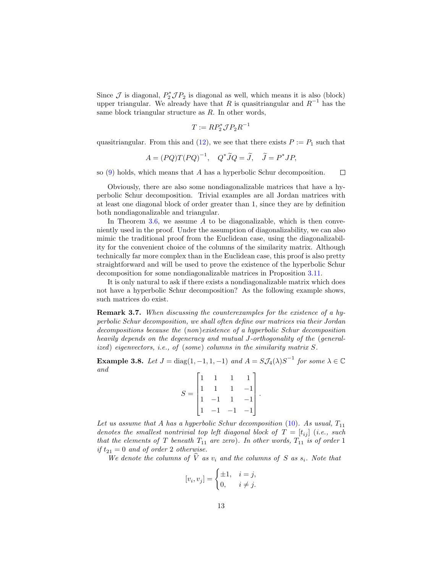Since  $\mathcal J$  is diagonal,  $P_2^* \mathcal J P_2$  is diagonal as well, which means it is also (block) upper triangular. We already have that R is quasitriangular and  $R^{-1}$  has the same block triangular structure as R. In other words,

$$
T := RP_2^* \mathcal{J} P_2 R^{-1}
$$

quasitriangular. From this and  $(12)$ , we see that there exists  $P := P_1$  such that

$$
A = (PQ)T(PQ)^{-1}, \quad Q^*\widetilde{J}Q = \widetilde{J}, \quad \widetilde{J} = P^*JP,
$$

so [\(9\)](#page-11-2) holds, which means that A has a hyperbolic Schur decomposition.  $\Box$ 

Obviously, there are also some nondiagonalizable matrices that have a hyperbolic Schur decomposition. Trivial examples are all Jordan matrices with at least one diagonal block of order greater than 1, since they are by definition both nondiagonalizable and triangular.

In Theorem [3.6,](#page-12-2) we assume A to be diagonalizable, which is then conveniently used in the proof. Under the assumption of diagonalizability, we can also mimic the traditional proof from the Euclidean case, using the diagonalizability for the convenient choice of the columns of the similarity matrix. Although technically far more complex than in the Euclidean case, this proof is also pretty straightforward and will be used to prove the existence of the hyperbolic Schur decomposition for some nondiagonalizable matrices in Proposition [3.11.](#page-16-0)

It is only natural to ask if there exists a nondiagonalizable matrix which does not have a hyperbolic Schur decomposition? As the following example shows, such matrices do exist.

Remark 3.7. When discussing the counterexamples for the existence of a hyperbolic Schur decomposition, we shall often define our matrices via their Jordan decompositions because the (non)existence of a hyperbolic Schur decomposition heavily depends on the degeneracy and mutual J-orthogonality of the (generalized) eigenvectors, i.e., of (some) columns in the similarity matrix S.

<span id="page-13-0"></span>**Example 3.8.** Let  $J = \text{diag}(1, -1, 1, -1)$  and  $A = S\mathcal{J}_4(\lambda)S^{-1}$  for some  $\lambda \in \mathbb{C}$ and

|       | $\mathbf{1}$                                    | $\overline{1}$ | $\,1$                                          |  |
|-------|-------------------------------------------------|----------------|------------------------------------------------|--|
| $S =$ |                                                 | $\overline{1}$ |                                                |  |
|       | $\begin{vmatrix} 1 & 1 \\ 1 & -1 \end{vmatrix}$ | $\overline{1}$ | $\begin{bmatrix} -1 \\ -1 \\ -1 \end{bmatrix}$ |  |
|       | $-1$                                            | $-1$           |                                                |  |

Let us assume that A has a hyperbolic Schur decomposition [\(10\)](#page-12-3). As usual,  $T_{11}$ denotes the smallest nontrivial top left diagonal block of  $T = [t_{ij}]$  (i.e., such that the elements of T beneath  $T_{11}$  are zero). In other words,  $T_{11}$  is of order 1 if  $t_{21} = 0$  and of order 2 otherwise.

We denote the columns of V as  $v_i$  and the columns of S as  $s_i$ . Note that

$$
[v_i, v_j] = \begin{cases} \pm 1, & i = j, \\ 0, & i \neq j. \end{cases}
$$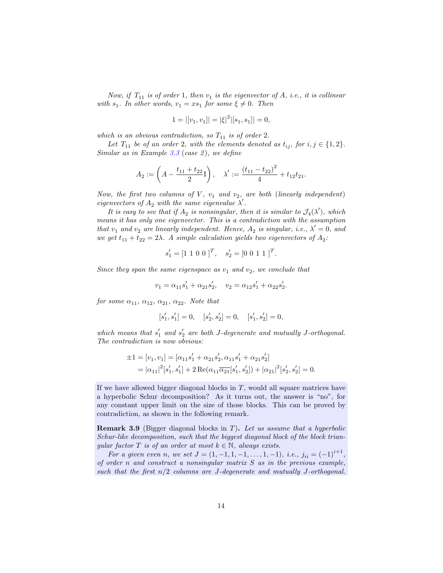Now, if  $T_{11}$  is of order 1, then  $v_1$  is the eigenvector of A, i.e., it is collinear with  $s_1$ . In other words,  $v_1 = xs_1$  for some  $\xi \neq 0$ . Then

$$
1 = |[v_1, v_1]| = |\xi|^2 |[s_1, s_1]| = 0,
$$

which is an obvious contradiction, so  $T_{11}$  is of order 2.

Let  $T_{11}$  be of an order 2, with the elements denoted as  $t_{ij}$ , for  $i, j \in \{1, 2\}$ . Similar as in Example  $3.3$  (case 2), we define

$$
A_2 := \left(A - \frac{t_{11} + t_{22}}{2}I\right), \quad \lambda' := \frac{(t_{11} - t_{22})^2}{4} + t_{12}t_{21}.
$$

Now, the first two columns of  $V$ ,  $v_1$  and  $v_2$ , are both (linearly independent) eigenvectors of  $A_2$  with the same eigenvalue  $\lambda'$ .

It is easy to see that if  $A_2$  is nonsingular, then it is similar to  $\mathcal{J}_4(\lambda')$ , which means it has only one eigenvector. This is a contradiction with the assumption that  $v_1$  and  $v_2$  are linearly independent. Hence,  $A_2$  is singular, i.e.,  $\lambda' = 0$ , and we get  $t_{11} + t_{22} = 2\lambda$ . A simple calculation yields two eigenvectors of  $A_2$ :

$$
s_1' = [1 \ 1 \ 0 \ 0 \ ]^T, \quad s_2' = [0 \ 0 \ 1 \ 1 \ ]^T
$$

.

Since they span the same eigenspace as  $v_1$  and  $v_2$ , we conclude that

$$
v_1 = \alpha_{11} s_1' + \alpha_{21} s_2', \quad v_2 = \alpha_{12} s_1' + \alpha_{22} s_2'.
$$

for some  $\alpha_{11}$ ,  $\alpha_{12}$ ,  $\alpha_{21}$ ,  $\alpha_{22}$ . Note that

$$
[s'_1, s'_1] = 0, \quad [s'_2, s'_2] = 0, \quad [s'_1, s'_2] = 0,
$$

which means that  $s'_1$  and  $s'_2$  are both J-degenerate and mutually J-orthogonal. The contradiction is now obvious:

$$
\pm 1 = [v_1, v_1] = [\alpha_{11} s_1' + \alpha_{21} s_2', \alpha_{11} s_1' + \alpha_{21} s_2']
$$
  
=  $|\alpha_{11}|^2 [s_1', s_1'] + 2 \operatorname{Re}(\alpha_{11} \overline{\alpha_{21}}[s_1', s_2']) + |\alpha_{21}|^2 [s_2', s_2'] = 0.$ 

If we have allowed bigger diagonal blocks in  $T$ , would all square matrices have a hyperbolic Schur decomposition? As it turns out, the answer is "no", for any constant upper limit on the size of those blocks. This can be proved by contradiction, as shown in the following remark.

<span id="page-14-0"></span>**Remark 3.9** (Bigger diagonal blocks in  $T$ ). Let us assume that a hyperbolic Schur-like decomposition, such that the biggest diagonal block of the block triangular factor T is of an order at most  $k \in \mathbb{N}$ , always exists.

For a given even n, we set  $J = (1, -1, 1, -1, \ldots, 1, -1)$ , i.e.,  $j_{ii} = (-1)^{i+1}$ , of order n and construct a nonsingular matrix  $S$  as in the previous example, such that the first  $n/2$  columns are J-degenerate and mutually J-orthogonal.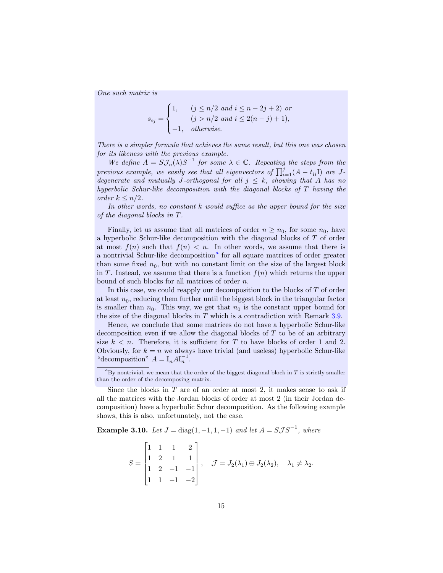One such matrix is

$$
s_{ij} = \begin{cases} 1, & (j \le n/2 \text{ and } i \le n-2j+2) \text{ or} \\ & (j > n/2 \text{ and } i \le 2(n-j)+1), \\ -1, & otherwise. \end{cases}
$$

There is a simpler formula that achieves the same result, but this one was chosen for its likeness with the previous example.

We define  $A = S\mathcal{J}_n(\lambda)S^{-1}$  for some  $\lambda \in \mathbb{C}$ . Repeating the steps from the previous example, we easily see that all eigenvectors of  $\prod_{i=1}^{j}(A-t_{ii}I)$  are Jdegenerate and mutually J-orthogonal for all  $j \leq k$ , showing that A has no hyperbolic Schur-like decomposition with the diagonal blocks of T having the order  $k \leq n/2$ .

In other words, no constant  $k$  would suffice as the upper bound for the size of the diagonal blocks in T.

Finally, let us assume that all matrices of order  $n \geq n_0$ , for some  $n_0$ , have a hyperbolic Schur-like decomposition with the diagonal blocks of T of order at most  $f(n)$  such that  $f(n) < n$ . In other words, we assume that there is [a](#page-15-0) nontrivial Schur-like decomposition<sup>a</sup> for all square matrices of order greater than some fixed  $n_0$ , but with no constant limit on the size of the largest block in T. Instead, we assume that there is a function  $f(n)$  which returns the upper bound of such blocks for all matrices of order n.

In this case, we could reapply our decomposition to the blocks of  $T$  of order at least  $n_0$ , reducing them further until the biggest block in the triangular factor is smaller than  $n_0$ . This way, we get that  $n_0$  is the constant upper bound for the size of the diagonal blocks in  $T$  which is a contradiction with Remark [3.9.](#page-14-0)

Hence, we conclude that some matrices do not have a hyperbolic Schur-like decomposition even if we allow the diagonal blocks of  $T$  to be of an arbitrary size  $k < n$ . Therefore, it is sufficient for T to have blocks of order 1 and 2. Obviously, for  $k = n$  we always have trivial (and useless) hyperbolic Schur-like "decomposition"  $A = I_n A I_n^{-1}$ .

<span id="page-15-1"></span>**Example 3.10.** Let  $J = diag(1, -1, 1, -1)$  and let  $A = SJS^{-1}$ , where

$$
S = \begin{bmatrix} 1 & 1 & 1 & 2 \\ 1 & 2 & 1 & 1 \\ 1 & 2 & -1 & -1 \\ 1 & 1 & -1 & -2 \end{bmatrix}, \quad \mathcal{J} = J_2(\lambda_1) \oplus J_2(\lambda_2), \quad \lambda_1 \neq \lambda_2.
$$

 ${}^{a}$ By nontrivial, we mean that the order of the biggest diagonal block in T is strictly smaller than the order of the decomposing matrix.

<span id="page-15-0"></span>Since the blocks in  $T$  are of an order at most 2, it makes sense to ask if all the matrices with the Jordan blocks of order at most 2 (in their Jordan decomposition) have a hyperbolic Schur decomposition. As the following example shows, this is also, unfortunately, not the case.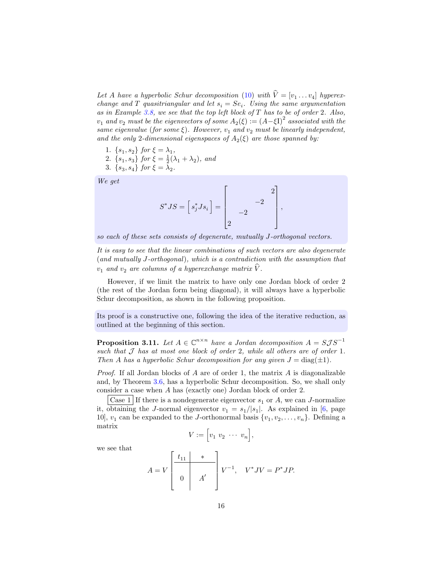Let A have a hyperbolic Schur decomposition [\(10\)](#page-12-3) with  $V = [v_1 \dots v_4]$  hyperexchange and T quasitriangular and let  $s_i = S e_i$ . Using the same argumentation as in Example [3.8,](#page-13-0) we see that the top left block of  $T$  has to be of order 2. Also,  $v_1$  and  $v_2$  must be the eigenvectors of some  $A_2(\xi) := (A - \xi I)^2$  associated with the same eigenvalue (for some  $\xi$ ). However,  $v_1$  and  $v_2$  must be linearly independent, and the only 2-dimensional eigenspaces of  $A_2(\xi)$  are those spanned by:

- 1.  $\{s_1, s_2\}$  for  $\xi = \lambda_1$ ,
- 2.  $\{s_1, s_3\}$  for  $\xi = \frac{1}{2}(\lambda_1 + \lambda_2)$ , and
- 3.  $\{s_3, s_4\}$  for  $\xi = \lambda_2$ .

We get

$$
S^*JS = \begin{bmatrix} s_j^*Js_i \end{bmatrix} = \begin{bmatrix} 2 \\ -2 \end{bmatrix},
$$

so each of these sets consists of degenerate, mutually J-orthogonal vectors.

It is easy to see that the linear combinations of such vectors are also degenerate (and mutually J-orthogonal), which is a contradiction with the assumption that  $v_1$  and  $v_2$  are columns of a hyperexchange matrix  $\hat{V}$ .

However, if we limit the matrix to have only one Jordan block of order 2 (the rest of the Jordan form being diagonal), it will always have a hyperbolic Schur decomposition, as shown in the following proposition.

Its proof is a constructive one, following the idea of the iterative reduction, as outlined at the beginning of this section.

<span id="page-16-0"></span>**Proposition 3.11.** Let  $A \in \mathbb{C}^{n \times n}$  have a Jordan decomposition  $A = S \mathcal{J} S^{-1}$ such that  $\mathcal J$  has at most one block of order 2, while all others are of order 1. Then A has a hyperbolic Schur decomposition for any given  $J = \text{diag}(\pm 1)$ .

*Proof.* If all Jordan blocks of  $A$  are of order 1, the matrix  $A$  is diagonalizable and, by Theorem [3.6,](#page-12-2) has a hyperbolic Schur decomposition. So, we shall only consider a case when A has (exactly one) Jordan block of order 2.

Case 1 If there is a nondegenerate eigenvector  $s_1$  or A, we can J-normalize it, obtaining the *J*-normal eigenvector  $v_1 = s_1/|s_1|$ . As explained in [\[6,](#page-33-9) page 10],  $v_1$  can be expanded to the *J*-orthonormal basis  $\{v_1, v_2, \ldots, v_n\}$ . Defining a matrix

$$
V := \Big[ v_1 \ v_2 \ \cdots \ v_n \Big],
$$

we see that

$$
A = V \begin{bmatrix} t_{11} & * & \\ & & \\ 0 & A' & \end{bmatrix} V^{-1}, \quad V^* J V = P^* J P.
$$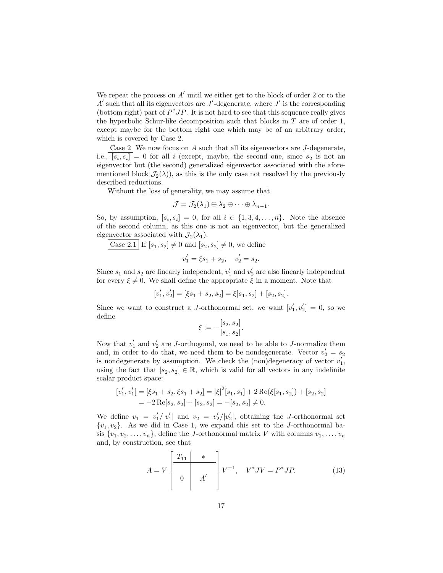We repeat the process on  $A'$  until we either get to the block of order 2 or to the  $A'$  such that all its eigenvectors are  $J'$ -degenerate, where  $J'$  is the corresponding (bottom right) part of  $P^*JP$ . It is not hard to see that this sequence really gives the hyperbolic Schur-like decomposition such that blocks in  $T$  are of order 1, except maybe for the bottom right one which may be of an arbitrary order, which is covered by Case 2.

Case 2 We now focus on A such that all its eigenvectors are J-degenerate, i.e.,  $[s_i, s_i] = 0$  for all i (except, maybe, the second one, since  $s_2$  is not an eigenvector but (the second) generalized eigenvector associated with the aforementioned block  $\mathcal{J}_2(\lambda)$ , as this is the only case not resolved by the previously described reductions.

Without the loss of generality, we may assume that

$$
\mathcal{J} = \mathcal{J}_2(\lambda_1) \oplus \lambda_2 \oplus \cdots \oplus \lambda_{n-1}.
$$

So, by assumption,  $[s_i, s_i] = 0$ , for all  $i \in \{1, 3, 4, \ldots, n\}$ . Note the absence of the second column, as this one is not an eigenvector, but the generalized eigenvector associated with  $\mathcal{J}_2(\lambda_1)$ .

Case 2.1 If  $[s_1, s_2] \neq 0$  and  $[s_2, s_2] \neq 0$ , we define

$$
v_1' = \xi s_1 + s_2, \quad v_2' = s_2.
$$

Since  $s_1$  and  $s_2$  are linearly independent,  $v'_1$  and  $v'_2$  are also linearly independent for every  $\xi \neq 0$ . We shall define the appropriate  $\xi$  in a moment. Note that

$$
[v'_1, v'_2] = [\xi s_1 + s_2, s_2] = \xi[s_1, s_2] + [s_2, s_2].
$$

Since we want to construct a J-orthonormal set, we want  $[v'_1, v'_2] = 0$ , so we define

$$
\xi := -\frac{[s_2, s_2]}{[s_1, s_2]}.
$$

Now that  $v'_1$  and  $v'_2$  are J-orthogonal, we need to be able to J-normalize them and, in order to do that, we need them to be nondegenerate. Vector  $v'_2 = s_2$ is nondegenerate by assumption. We check the  $(non)$ degeneracy of vector  $v'_1$ , using the fact that  $[s_2, s_2] \in \mathbb{R}$ , which is valid for all vectors in any indefinite scalar product space:

$$
\begin{aligned} [v_1', v_1'] &= \left[ \xi s_1 + s_2, \xi s_1 + s_2 \right] = |\xi|^2 [s_1, s_1] + 2 \operatorname{Re}(\xi[s_1, s_2]) + [s_2, s_2] \\ &= -2 \operatorname{Re}[s_2, s_2] + [s_2, s_2] = -[s_2, s_2] \neq 0. \end{aligned}
$$

We define  $v_1 = v_1'/|v_1'|$  and  $v_2 = v_2'/|v_2'|$ , obtaining the *J*-orthonormal set  $\{v_1, v_2\}$ . As we did in Case 1, we expand this set to the *J*-orthonormal basis  $\{v_1, v_2, \ldots, v_n\}$ , define the *J*-orthonormal matrix *V* with columns  $v_1, \ldots, v_n$ and, by construction, see that

<span id="page-17-0"></span>
$$
A = V \begin{bmatrix} T_{11} & * \\ & \\ 0 & A' \end{bmatrix} V^{-1}, \quad V^* J V = P^* J P. \tag{13}
$$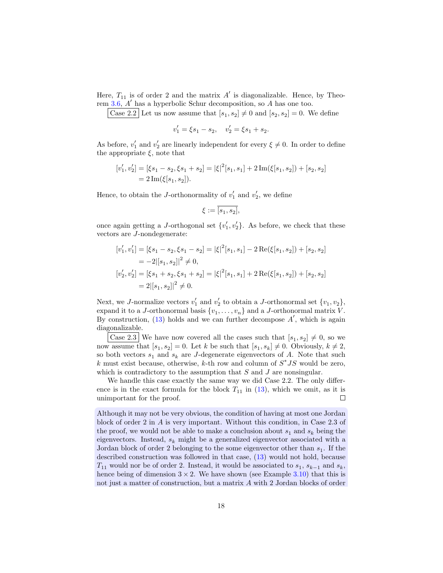Here,  $T_{11}$  is of order 2 and the matrix  $A'$  is diagonalizable. Hence, by Theorem [3.6,](#page-12-2) A ′ has a hyperbolic Schur decomposition, so A has one too.

Case 2.2 Let us now assume that  $[s_1, s_2] \neq 0$  and  $[s_2, s_2] = 0$ . We define

$$
v_1' = \xi s_1 - s_2, \quad v_2' = \xi s_1 + s_2.
$$

As before,  $v'_1$  and  $v'_2$  are linearly independent for every  $\xi \neq 0$ . In order to define the appropriate  $\xi$ , note that

$$
[v'_1, v'_2] = [\xi s_1 - s_2, \xi s_1 + s_2] = |\xi|^2 [s_1, s_1] + 2 \operatorname{Im}(\xi [s_1, s_2]) + [s_2, s_2]
$$
  
= 2 \operatorname{Im}(\xi [s\_1, s\_2]).

Hence, to obtain the *J*-orthonormality of  $v'_1$  and  $v'_2$ , we define

$$
\xi:=\overline{[s_1,s_2]},
$$

once again getting a J-orthogonal set  $\{v'_1, v'_2\}$ . As before, we check that these vectors are J-nondegenerate:

$$
[v'_1, v'_1] = [\xi s_1 - s_2, \xi s_1 - s_2] = |\xi|^2 [s_1, s_1] - 2 \operatorname{Re}(\xi[s_1, s_2]) + [s_2, s_2]
$$
  
=  $-2|[s_1, s_2]|^2 \neq 0$ ,  

$$
[v'_2, v'_2] = [\xi s_1 + s_2, \xi s_1 + s_2] = |\xi|^2 [s_1, s_1] + 2 \operatorname{Re}(\xi[s_1, s_2]) + [s_2, s_2]
$$
  
=  $2|[s_1, s_2]|^2 \neq 0$ .

Next, we *J*-normalize vectors  $v'_1$  and  $v'_2$  to obtain a *J*-orthonormal set  $\{v_1, v_2\}$ , expand it to a *J*-orthonormal basis  $\{v_1, \ldots, v_n\}$  and a *J*-orthonormal matrix *V*. By construction,  $(13)$  holds and we can further decompose  $A'$ , which is again diagonalizable.

Case 2.3 We have now covered all the cases such that  $[s_1, s_2] \neq 0$ , so we now assume that  $[s_1, s_2] = 0$ . Let k be such that  $[s_1, s_k] \neq 0$ . Obviously,  $k \neq 2$ , so both vectors  $s_1$  and  $s_k$  are J-degenerate eigenvectors of A. Note that such k must exist because, otherwise, k-th row and column of  $S^*JS$  would be zero, which is contradictory to the assumption that  $S$  and  $J$  are nonsingular.

We handle this case exactly the same way we did Case 2.2. The only difference is in the exact formula for the block  $T_{11}$  in [\(13\)](#page-17-0), which we omit, as it is  $\Box$ unimportant for the proof.

Although it may not be very obvious, the condition of having at most one Jordan block of order 2 in A is very important. Without this condition, in Case 2.3 of the proof, we would not be able to make a conclusion about  $s_1$  and  $s_k$  being the eigenvectors. Instead,  $s_k$  might be a generalized eigenvector associated with a Jordan block of order 2 belonging to the some eigenvector other than  $s_1$ . If the described construction was followed in that case, [\(13\)](#page-17-0) would not hold, because  $T_{11}$  would nor be of order 2. Instead, it would be associated to  $s_1, s_{k-1}$  and  $s_k$ , hence being of dimension  $3 \times 2$ . We have shown (see Example [3.10\)](#page-15-1) that this is not just a matter of construction, but a matrix A with 2 Jordan blocks of order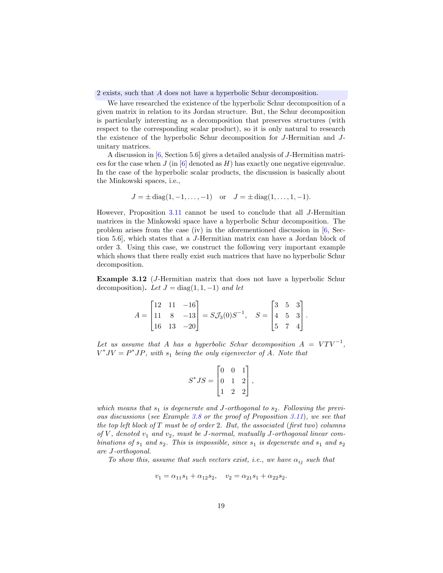2 exists, such that A does not have a hyperbolic Schur decomposition.

We have researched the existence of the hyperbolic Schur decomposition of a given matrix in relation to its Jordan structure. But, the Schur decomposition is particularly interesting as a decomposition that preserves structures (with respect to the corresponding scalar product), so it is only natural to research the existence of the hyperbolic Schur decomposition for J-Hermitian and Junitary matrices.

A discussion in [\[6,](#page-33-9) Section 5.6] gives a detailed analysis of J-Hermitian matrices for the case when  $J$  (in [\[6\]](#page-33-9) denoted as  $H$ ) has exactly one negative eigenvalue. In the case of the hyperbolic scalar products, the discussion is basically about the Minkowski spaces, i.e.,

$$
J = \pm \text{diag}(1, -1, \dots, -1)
$$
 or  $J = \pm \text{diag}(1, \dots, 1, -1)$ .

However, Proposition [3.11](#page-16-0) cannot be used to conclude that all J-Hermitian matrices in the Minkowski space have a hyperbolic Schur decomposition. The problem arises from the case (iv) in the aforementioned discussion in [\[6,](#page-33-9) Section 5.6], which states that a J-Hermitian matrix can have a Jordan block of order 3. Using this case, we construct the following very important example which shows that there really exist such matrices that have no hyperbolic Schur decomposition.

<span id="page-19-0"></span>Example 3.12 (J-Hermitian matrix that does not have a hyperbolic Schur decomposition). Let  $J = diag(1, 1, -1)$  and let

$$
A = \begin{bmatrix} 12 & 11 & -16 \\ 11 & 8 & -13 \\ 16 & 13 & -20 \end{bmatrix} = S\mathcal{J}_3(0)S^{-1}, \quad S = \begin{bmatrix} 3 & 5 & 3 \\ 4 & 5 & 3 \\ 5 & 7 & 4 \end{bmatrix}.
$$

Let us assume that A has a hyperbolic Schur decomposition  $A = VTV^{-1}$ ,  $V^*JV = P^*JP$ , with  $s_1$  being the only eigenvector of A. Note that

$$
S^*JS = \begin{bmatrix} 0 & 0 & 1 \\ 0 & 1 & 2 \\ 1 & 2 & 2 \end{bmatrix},
$$

which means that  $s_1$  is degenerate and J-orthogonal to  $s_2$ . Following the previous discussions (see Example [3.8](#page-13-0) or the proof of Proposition [3.11](#page-16-0)), we see that the top left block of  $T$  must be of order 2. But, the associated (first two) columns of  $V$ , denoted  $v_1$  and  $v_2$ , must be J-normal, mutually J-orthogonal linear combinations of  $s_1$  and  $s_2$ . This is impossible, since  $s_1$  is degenerate and  $s_1$  and  $s_2$ are J-orthogonal.

To show this, assume that such vectors exist, i.e., we have  $\alpha_{ij}$  such that

$$
v_1 = \alpha_{11}s_1 + \alpha_{12}s_2, \quad v_2 = \alpha_{21}s_1 + \alpha_{22}s_2.
$$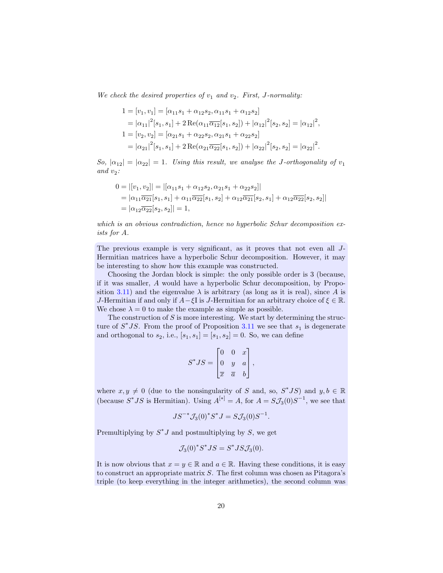We check the desired properties of  $v_1$  and  $v_2$ . First, J-normality:

$$
1 = [v_1, v_1] = [\alpha_{11}s_1 + \alpha_{12}s_2, \alpha_{11}s_1 + \alpha_{12}s_2]
$$
  
\n
$$
= |\alpha_{11}|^2[s_1, s_1] + 2 \operatorname{Re}(\alpha_{11}\overline{\alpha_{12}}[s_1, s_2]) + |\alpha_{12}|^2[s_2, s_2] = |\alpha_{12}|^2,
$$
  
\n
$$
1 = [v_2, v_2] = [\alpha_{21}s_1 + \alpha_{22}s_2, \alpha_{21}s_1 + \alpha_{22}s_2]
$$
  
\n
$$
= |\alpha_{21}|^2[s_1, s_1] + 2 \operatorname{Re}(\alpha_{21}\overline{\alpha_{22}}[s_1, s_2]) + |\alpha_{22}|^2[s_2, s_2] = |\alpha_{22}|^2.
$$

So,  $|\alpha_{12}| = |\alpha_{22}| = 1$ . Using this result, we analyse the J-orthogonality of  $v_1$ and  $v_2$ :

$$
0 = |[v_1, v_2]| = |[\alpha_{11} s_1 + \alpha_{12} s_2, \alpha_{21} s_1 + \alpha_{22} s_2]|
$$
  
=  $|\alpha_{11} \overline{\alpha_{21}}[s_1, s_1] + \alpha_{11} \overline{\alpha_{22}}[s_1, s_2] + \alpha_{12} \overline{\alpha_{21}}[s_2, s_1] + \alpha_{12} \overline{\alpha_{22}}[s_2, s_2]|$   
=  $|\alpha_{12} \overline{\alpha_{22}}[s_2, s_2]| = 1$ ,

which is an obvious contradiction, hence no hyperbolic Schur decomposition exists for A.

The previous example is very significant, as it proves that not even all J-Hermitian matrices have a hyperbolic Schur decomposition. However, it may be interesting to show how this example was constructed.

Choosing the Jordan block is simple: the only possible order is 3 (because, if it was smaller, A would have a hyperbolic Schur decomposition, by Propo-sition [3.11\)](#page-16-0) and the eigenvalue  $\lambda$  is arbitrary (as long as it is real), since A is J-Hermitian if and only if  $A-\xi I$  is J-Hermitian for an arbitrary choice of  $\xi \in \mathbb{R}$ . We chose  $\lambda = 0$  to make the example as simple as possible.

The construction of  $S$  is more interesting. We start by determining the structure of  $S^*JS$ . From the proof of Proposition [3.11](#page-16-0) we see that  $s_1$  is degenerate and orthogonal to  $s_2$ , i.e.,  $[s_1, s_1] = [s_1, s_2] = 0$ . So, we can define

$$
S^*JS = \begin{bmatrix} 0 & 0 & x \\ 0 & y & a \\ \overline{x} & \overline{a} & b \end{bmatrix},
$$

where  $x, y \neq 0$  (due to the nonsingularity of S and, so,  $S^*JS$ ) and  $y, b \in \mathbb{R}$ (because  $S^*JS$  is Hermitian). Using  $A^{[*]} = A$ , for  $A = S\mathcal{J}_3(0)S^{-1}$ , we see that

$$
JS^{-*}\mathcal{J}_3(0)^*S^*J = S\mathcal{J}_3(0)S^{-1}.
$$

Premultiplying by  $S^*J$  and postmultiplying by S, we get

$$
\mathcal{J}_3(0)^* S^* J S = S^* J S \mathcal{J}_3(0).
$$

It is now obvious that  $x = y \in \mathbb{R}$  and  $a \in \mathbb{R}$ . Having these conditions, it is easy to construct an appropriate matrix S. The first column was chosen as Pitagora's triple (to keep everything in the integer arithmetics), the second column was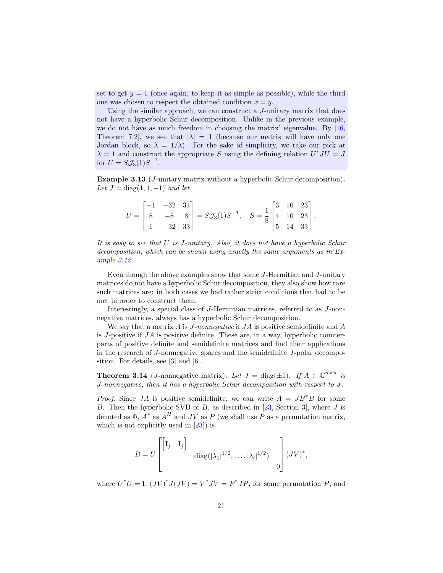set to get  $y = 1$  (once again, to keep it as simple as possible), while the third one was chosen to respect the obtained condition  $x = y$ .

Using the similar approach, we can construct a J-unitary matrix that does not have a hyperbolic Schur decomposition. Unlike in the previous example, we do not have as much freedom in choosing the matrix' eigenvalue. By  $[16,$ Theorem 7.2, we see that  $|\lambda| = 1$  (because our matrix will have only one Jordan block, so  $\lambda = 1/\overline{\lambda}$ . For the sake of simplicity, we take our pick at  $\lambda = 1$  and construct the appropriate S using the defining relation  $U^*JU = J$ for  $U = S \mathcal{J}_3(1) S^{-1}$ .

<span id="page-21-0"></span>Example 3.13 (J-unitary matrix without a hyperbolic Schur decomposition). Let  $J = diag(1, 1, -1)$  and let

|           | $ -1 -32 31 $ |                                                                                                                                                                                                           |  |  |  |
|-----------|---------------|-----------------------------------------------------------------------------------------------------------------------------------------------------------------------------------------------------------|--|--|--|
| $U =   8$ |               | $\left. \begin{array}{cc} -32 & 31 \\ -8 & 8 \\ -32 & 33 \end{array} \right] = S \mathcal{J}_3(1) S^{-1}, \quad S = \frac{1}{8} \begin{bmatrix} 3 & 10 & 23 \\ 4 & 10 & 23 \\ 5 & 14 & 33 \end{bmatrix}.$ |  |  |  |
|           | $-32$ 33      |                                                                                                                                                                                                           |  |  |  |

It is easy to see that U is J-unitary. Also, it does not have a hyperbolic Schur decomposition, which can be shown using exactly the same arguments as in Example [3.12.](#page-19-0)

Even though the above examples show that some J-Hermitian and J-unitary matrices do not have a hyperbolic Schur decomposition, they also show how rare such matrices are: in both cases we had rather strict conditions that had to be met in order to construct them.

Interestingly, a special class of J-Hermitian matrices, referred to as J-nonnegative matrices, always has a hyperbolic Schur decomposition.

We say that a matrix  $A$  is  $J$ -nonnegative if  $JA$  is positive semidefinite and  $A$ is J-positive if  $JA$  is positive definite. These are, in a way, hyperbolic counterparts of positive definite and semidefinite matrices and find their applications in the research of J-nonnegative spaces and the semidefinite J-polar decomposition. For details, see  $[3]$  and  $[6]$ .

**Theorem 3.14** (*J*-nonnegative matrix). Let  $J = \text{diag}(\pm 1)$ . If  $A \in \mathbb{C}^{n \times n}$  is J-nonnegative, then it has a hyperbolic Schur decomposition with respect to J.

*Proof.* Since JA is positive semidefinite, we can write  $A = JB^*B$  for some B. Then the hyperbolic SVD of  $B$ , as described in [\[23](#page-34-0), Section 3], where  $J$  is denoted as  $\Phi$ ,  $A^*$  as  $A^H$  and JV as P (we shall use P as a permutation matrix, which is not explicitly used in [\[23](#page-34-0)]) is

$$
B = U \begin{bmatrix} \begin{bmatrix} I_j & I_j \end{bmatrix} & \text{diag}(|\lambda_1|^{1/2}, \dots, |\lambda_l|^{1/2}) & 0 \end{bmatrix} (JV)^*,
$$

where  $U^*U = I$ ,  $(JV)^*J(JV) = V^*JV = P^*JP$ , for some permutation P, and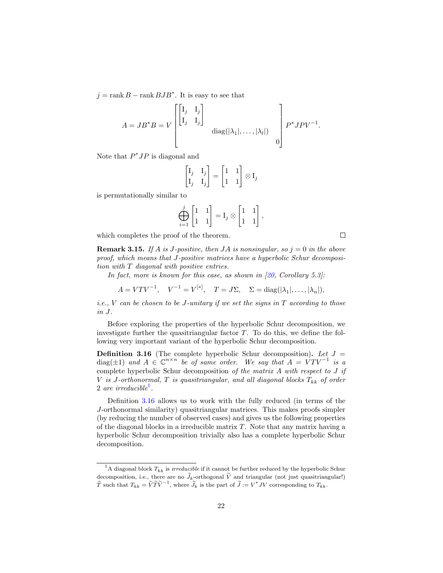$j = \text{rank } B - \text{rank } BJB^*$ . It is easy to see that

$$
A = JB^*B = V \begin{bmatrix} \begin{bmatrix} \mathbf{I}_j & \mathbf{I}_j \\ \mathbf{I}_j & \mathbf{I}_j \end{bmatrix} & \\ \text{diag}(|\lambda_1|, \dots, |\lambda_l|) & \\ 0 & \end{bmatrix} P^*JPV^{-1}.
$$

Note that  $P^*JP$  is diagonal and

$$
\begin{bmatrix} \mathbf{I}_j & \mathbf{I}_j \\ \mathbf{I}_j & \mathbf{I}_j \end{bmatrix} = \begin{bmatrix} 1 & 1 \\ 1 & 1 \end{bmatrix} \otimes \mathbf{I}_j
$$

is permutationally similar to

$$
\bigoplus_{i=1}^j \begin{bmatrix} 1 & 1 \\ 1 & 1 \end{bmatrix} = \mathbf{I}_j \otimes \begin{bmatrix} 1 & 1 \\ 1 & 1 \end{bmatrix},
$$

which completes the proof of the theorem.

**Remark 3.15.** If A is J-positive, then JA is nonsingular, so  $j = 0$  in the above proof, which means that J-positive matrices have a hyperbolic Schur decomposition with T diagonal with positive entries.

In fact, more is known for this case, as shown in  $[20,$  Corollary 5.3]:

[∗]

$$
A = VTV^{-1}, \quad V^{-1} = V^{[*]}, \quad T = J\Sigma, \quad \Sigma = \text{diag}(|\lambda_1|, \dots, |\lambda_n|),
$$

*i.e.*,  $V$  can be chosen to be J-unitary if we set the signs in  $T$  according to those in J.

Before exploring the properties of the hyperbolic Schur decomposition, we investigate further the quasitriangular factor  $T$ . To do this, we define the following very important variant of the hyperbolic Schur decomposition.

<span id="page-22-1"></span>**Definition 3.16** (The complete hyperbolic Schur decomposition). Let  $J =$  $\text{diag}(\pm 1)$  and  $A \in \mathbb{C}^{n \times n}$  be of same order. We say that  $A = V T V^{-1}$  is a complete hyperbolic Schur decomposition of the matrix A with respect to J if V is J-orthonormal, T is quasitriangular, and all diagonal blocks  $T_{kk}$  of order 2 are irreducible<sup>[1](#page-22-0)</sup>.

Definition [3.16](#page-22-1) allows us to work with the fully reduced (in terms of the J-orthonormal similarity) quasitriangular matrices. This makes proofs simpler (by reducing the number of observed cases) and gives us the following properties of the diagonal blocks in a irreducible matrix  $T$ . Note that any matrix having a hyperbolic Schur decomposition trivially also has a complete hyperbolic Schur decomposition.

 $\Box$ 

<span id="page-22-0"></span><sup>&</sup>lt;sup>1</sup>A diagonal block  $T_{kk}$  is *irreducible* if it cannot be further reduced by the hyperbolic Schur decomposition, i.e., there are no  $\widetilde{J}_k$ -orthogonal  $\widetilde{V}$  and triangular (not just quasitriangular!)  $\widetilde{T}$  such that  $T_{kk} = \widetilde{V}\widetilde{T}\widetilde{V}^{-1}$ , where  $\widetilde{J}_k$  is the part of  $\widetilde{J} := V^*JV$  corresponding to  $T_{kk}$ .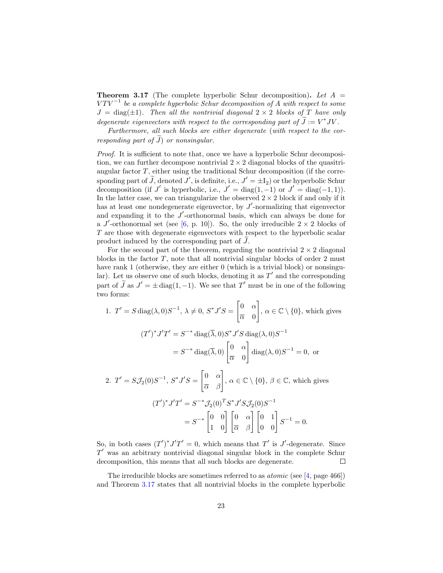<span id="page-23-0"></span>**Theorem 3.17** (The complete hyperbolic Schur decomposition). Let  $A =$  $V T V^{-1}$  be a complete hyperbolic Schur decomposition of A with respect to some  $J = \text{diag}(\pm 1)$ . Then all the nontrivial diagonal  $2 \times 2$  blocks of T have only degenerate eigenvectors with respect to the corresponding part of  $J := V^*JV$ .

Furthermore, all such blocks are either degenerate (with respect to the corresponding part of  $\widetilde{J}$  or nonsingular.

*Proof.* It is sufficient to note that, once we have a hyperbolic Schur decomposition, we can further decompose nontrivial  $2 \times 2$  diagonal blocks of the quasitriangular factor  $T$ , either using the traditional Schur decomposition (if the corresponding part of J, denoted J', is definite, i.e.,  $J' = \pm I_2$ ) or the hyperbolic Schur decomposition (if J' is hyperbolic, i.e.,  $J' = \text{diag}(1, -1)$  or  $J' = \text{diag}(-1, 1)$ ). In the latter case, we can triangularize the observed  $2 \times 2$  block if and only if it has at least one nondegenerate eigenvector, by  $J'$ -normalizing that eigenvector and expanding it to the  $J'$ -orthonormal basis, which can always be done for a J'-orthonormal set (see [\[6,](#page-33-9) p. 10]). So, the only irreducible  $2 \times 2$  blocks of T are those with degenerate eigenvectors with respect to the hyperbolic scalar product induced by the corresponding part of  $J$ .

For the second part of the theorem, regarding the nontrivial  $2 \times 2$  diagonal blocks in the factor  $T$ , note that all nontrivial singular blocks of order  $2 \text{ must}$ have rank 1 (otherwise, they are either 0 (which is a trivial block) or nonsingular). Let us observe one of such blocks, denoting it as  $T'$  and the corresponding part of J as  $J' = \pm \operatorname{diag}(1, -1)$ . We see that T' must be in one of the following two forms:

1. 
$$
T' = S \operatorname{diag}(\lambda, 0)S^{-1}, \lambda \neq 0, S^*J'S = \begin{bmatrix} 0 & \alpha \\ \overline{\alpha} & 0 \end{bmatrix}, \alpha \in \mathbb{C} \setminus \{0\},
$$
 which gives  
\n
$$
(T')^*J'T' = S^{-*} \operatorname{diag}(\overline{\lambda}, 0)S^*J'S \operatorname{diag}(\lambda, 0)S^{-1}
$$
\n
$$
= S^{-*} \operatorname{diag}(\overline{\lambda}, 0) \begin{bmatrix} 0 & \alpha \\ \overline{\alpha} & 0 \end{bmatrix} \operatorname{diag}(\lambda, 0)S^{-1} = 0,
$$
or  
\n2.  $T' = S\mathcal{J}_2(0)S^{-1}, S^*J'S = \begin{bmatrix} 0 & \alpha \\ \overline{\alpha} & \beta \end{bmatrix}, \alpha \in \mathbb{C} \setminus \{0\}, \beta \in \mathbb{C},$  which gives  
\n
$$
(T')^*J'T' = S^{-*}\mathcal{J}_2(0)^T S^*J'S\mathcal{J}_2(0)S^{-1}
$$
\n
$$
= S^{-*} \begin{bmatrix} 0 & 0 \\ 1 & 0 \end{bmatrix} \begin{bmatrix} 0 & \alpha \\ \overline{\alpha} & \beta \end{bmatrix} \begin{bmatrix} 0 & 1 \\ 0 & 0 \end{bmatrix} S^{-1} = 0.
$$

So, in both cases  $(T')^* J' T' = 0$ , which means that T' is J'-degenerate. Since  $T'$  was an arbitrary nontrivial diagonal singular block in the complete Schur decomposition, this means that all such blocks are degenerate.  $\Box$ 

The irreducible blocks are sometimes referred to as *atomic* (see [\[4,](#page-33-13) page 466]) and Theorem [3.17](#page-23-0) states that all nontrivial blocks in the complete hyperbolic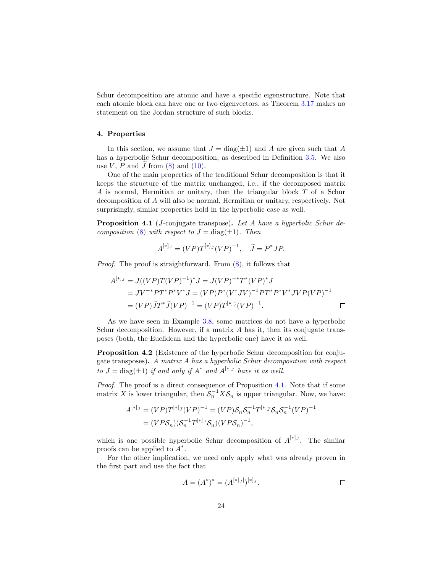Schur decomposition are atomic and have a specific eigenstructure. Note that each atomic block can have one or two eigenvectors, as Theorem [3.17](#page-23-0) makes no statement on the Jordan structure of such blocks.

# 4. Properties

In this section, we assume that  $J = diag(\pm 1)$  and A are given such that A has a hyperbolic Schur decomposition, as described in Definition [3.5.](#page-12-4) We also use V, P and J from  $(8)$  and  $(10)$ .

One of the main properties of the traditional Schur decomposition is that it keeps the structure of the matrix unchanged, i.e., if the decomposed matrix A is normal, Hermitian or unitary, then the triangular block T of a Schur decomposition of A will also be normal, Hermitian or unitary, respectively. Not surprisingly, similar properties hold in the hyperbolic case as well.

<span id="page-24-0"></span>Proposition 4.1 (*J*-conjugate transpose). Let A have a hyperbolic Schur de-composition [\(8\)](#page-11-1) with respect to  $J = \text{diag}(\pm 1)$ . Then

$$
A^{[*]}{}^{J} = (VP)T^{[*]}{}^{J}(VP)^{-1}, \quad \widetilde{J} = P^*JP.
$$

Proof. The proof is straightforward. From  $(8)$ , it follows that

$$
A^{[*]_J} = J((VP)T(VP)^{-1})^* J = J(VP)^{-*} T^*(VP)^* J
$$
  
=  $JV^{-*}PT^*P^*V^* J = (VP)P^*(V^*JV)^{-1}PT^*P^*V^* JVP(VP)^{-1}$   
=  $(VP)\widetilde{J}T^*\widetilde{J}(VP)^{-1} = (VP)T^{[*]_{\widetilde{J}}}(VP)^{-1}$ .

As we have seen in Example [3.8,](#page-13-0) some matrices do not have a hyperbolic Schur decomposition. However, if a matrix A has it, then its conjugate transposes (both, the Euclidean and the hyperbolic one) have it as well.

Proposition 4.2 (Existence of the hyperbolic Schur decomposition for conjugate transposes). A matrix A has a hyperbolic Schur decomposition with respect to  $J = \text{diag}(\pm 1)$  if and only if  $A^*$  and  $A^{[*]}$  have it as well.

Proof. The proof is a direct consequence of Proposition [4.1.](#page-24-0) Note that if some matrix X is lower triangular, then  $S_n^{-1}XS_n$  is upper triangular. Now, we have:

$$
A^{[*]_J} = (VP)T^{[*]_J}(VP)^{-1} = (VP)S_nS_n^{-1}T^{[*]_J}S_nS_n^{-1}(VP)^{-1}
$$
  
=  $(VPS_n)(S_n^{-1}T^{[*]_J}S_n)(VPS_n)^{-1}$ ,

which is one possible hyperbolic Schur decomposition of  $A^{[*]}$ . The similar proofs can be applied to  $A^*$ .

For the other implication, we need only apply what was already proven in the first part and use the fact that

$$
A = (A^*)^* = (A^{[*]_J}]^{[*]_J}.
$$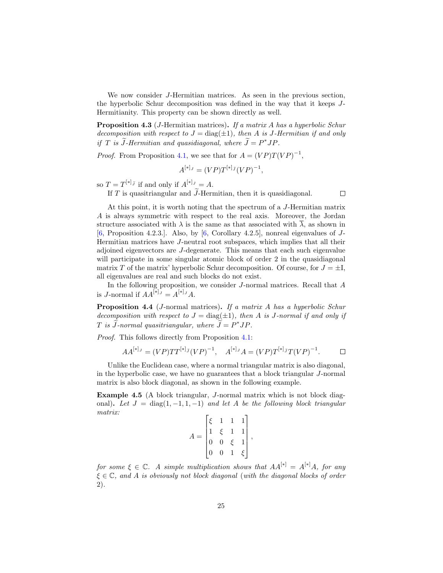We now consider J-Hermitian matrices. As seen in the previous section, the hyperbolic Schur decomposition was defined in the way that it keeps J-Hermitianity. This property can be shown directly as well.

<span id="page-25-1"></span>**Proposition 4.3** (*J*-Hermitian matrices). If a matrix A has a hyperbolic Schur decomposition with respect to  $J = diag(\pm 1)$ , then A is J-Hermitian if and only if T is J-Hermitian and quasidiagonal, where  $J = P^*JP$ .

*Proof.* From Proposition [4.1,](#page-24-0) we see that for  $A = (VP)T(VP)^{-1}$ ,

$$
A^{[*]_J} = (VP)T^{[*]_J}(VP)^{-1},
$$

so  $T = T^{[*]}$  if and only if  $A^{[*]}$   $= A$ .

If T is quasitriangular and  $\widetilde{J}$ -Hermitian, then it is quasidiagonal.

 $\Box$ 

At this point, it is worth noting that the spectrum of a J-Hermitian matrix A is always symmetric with respect to the real axis. Moreover, the Jordan structure associated with  $\lambda$  is the same as that associated with  $\overline{\lambda}$ , as shown in [\[6,](#page-33-9) Proposition 4.2.3.]. Also, by  $[6,$  Corollary 4.2.5], nonreal eigenvalues of J-Hermitian matrices have J-neutral root subspaces, which implies that all their adjoined eigenvectors are J-degenerate. This means that each such eigenvalue will participate in some singular atomic block of order 2 in the quasidiagonal matrix T of the matrix' hyperbolic Schur decomposition. Of course, for  $J = \pm I$ , all eigenvalues are real and such blocks do not exist.

In the following proposition, we consider J-normal matrices. Recall that A is *J*-normal if  $AA^{[*]}$   $= A^{[*]}$   $A$ .

<span id="page-25-0"></span>Proposition 4.4 (J-normal matrices). If a matrix A has a hyperbolic Schur decomposition with respect to  $J = \text{diag}(\pm 1)$ , then A is J-normal if and only if T is J-normal quasitriangular, where  $J = P^*JP$ .

Proof. This follows directly from Proposition [4.1:](#page-24-0)

$$
AA^{[*]}J = (VP)TT^{[*]}J(VP)^{-1}, A^{[*]}JA = (VP)T^{[*]}J(VP)^{-1}.
$$

Unlike the Euclidean case, where a normal triangular matrix is also diagonal, in the hyperbolic case, we have no guarantees that a block triangular J-normal matrix is also block diagonal, as shown in the following example.

Example 4.5 (A block triangular, J-normal matrix which is not block diagonal). Let  $J = diag(1, -1, 1, -1)$  and let A be the following block triangular matrix:

$$
A = \begin{bmatrix} \xi & 1 & 1 & 1 \\ 1 & \xi & 1 & 1 \\ 0 & 0 & \xi & 1 \\ 0 & 0 & 1 & \xi \end{bmatrix},
$$

for some  $\xi \in \mathbb{C}$ . A simple multiplication shows that  $AA^{[*]} = A^{[*]}A$ , for any  $\xi \in \mathbb{C}$ , and A is obviously not block diagonal (with the diagonal blocks of order 2).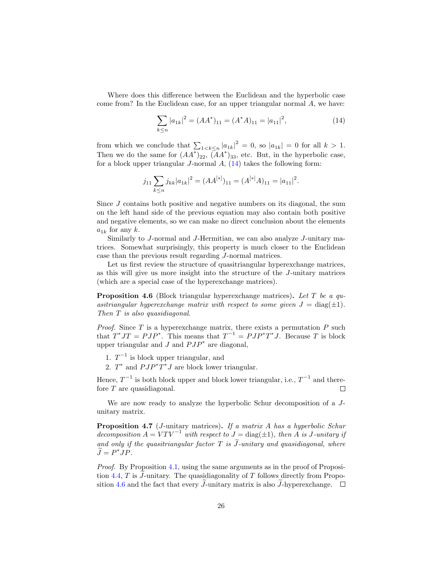Where does this difference between the Euclidean and the hyperbolic case come from? In the Euclidean case, for an upper triangular normal A, we have:

<span id="page-26-0"></span>
$$
\sum_{k \le n} |a_{1k}|^2 = (AA^*)_{11} = (A^*A)_{11} = |a_{11}|^2,\tag{14}
$$

from which we conclude that  $\sum_{1 \le k \le n} |a_{1k}|^2 = 0$ , so  $|a_{1k}| = 0$  for all  $k > 1$ . Then we do the same for  $(AA^*)_{22}$ ,  $(AA^*)_{33}$ , etc. But, in the hyperbolic case, for a block upper triangular  $J$ -normal  $A$ ,  $(14)$  takes the following form:

$$
j_{11} \sum_{k \le n} j_{kk} |a_{1k}|^2 = (AA^{[*]})_{11} = (A^{[*]}A)_{11} = |a_{11}|^2.
$$

Since J contains both positive and negative numbers on its diagonal, the sum on the left hand side of the previous equation may also contain both positive and negative elements, so we can make no direct conclusion about the elements  $a_{1k}$  for any k.

Similarly to J-normal and J-Hermitian, we can also analyze J-unitary matrices. Somewhat surprisingly, this property is much closer to the Euclidean case than the previous result regarding J-normal matrices.

Let us first review the structure of quasitriangular hyperexchange matrices, as this will give us more insight into the structure of the J-unitary matrices (which are a special case of the hyperexchange matrices).

<span id="page-26-1"></span>**Proposition 4.6** (Block triangular hyperexchange matrices). Let T be a quasitriangular hyperexchange matrix with respect to some given  $J = \text{diag}(\pm 1)$ . Then T is also quasidiagonal.

*Proof.* Since  $T$  is a hyperexchange matrix, there exists a permutation  $P$  such that  $T^*JT = PJP^*$ . This means that  $T^{-1} = PJP^*T^*J$ . Because T is block upper triangular and  $J$  and  $PJP^*$  are diagonal,

- 1.  $T^{-1}$  is block upper triangular, and
- 2.  $T^*$  and  $PJP^*T^*J$  are block lower triangular.

Hence,  $T^{-1}$  is both block upper and block lower triangular, i.e.,  $T^{-1}$  and therefore T are quasidiagonal.  $\Box$ 

We are now ready to analyze the hyperbolic Schur decomposition of a Junitary matrix.

<span id="page-26-2"></span>**Proposition 4.7** (*J*-unitary matrices). If a matrix A has a hyperbolic Schur decomposition  $A = VTV^{-1}$  with respect to  $J = \text{diag}(\pm 1)$ , then A is J-unitary if and only if the quasitriangular factor T is  $\tilde{J}$ -unitary and quasidiagonal, where  $J = P^*JP$ .

Proof. By Proposition [4.1,](#page-24-0) using the same arguments as in the proof of Proposi-tion [4.4,](#page-25-0)  $T$  is J-unitary. The quasidiagonality of  $T$  follows directly from Propo-sition [4.6](#page-26-1) and the fact that every J-unitary matrix is also J-hyperexchange.  $\Box$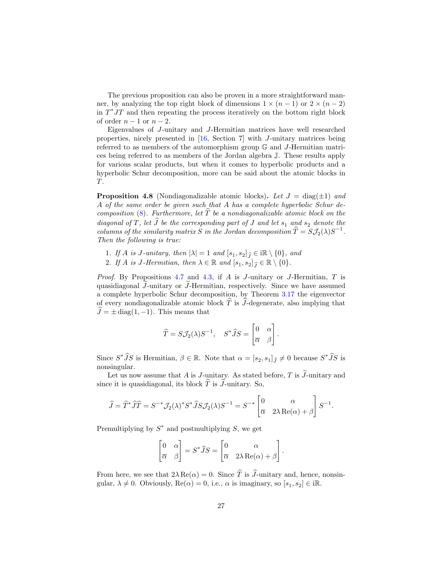The previous proposition can also be proven in a more straightforward manner, by analyzing the top right block of dimensions  $1 \times (n-1)$  or  $2 \times (n-2)$ in  $T^*JT$  and then repeating the process iteratively on the bottom right block of order  $n-1$  or  $n-2$ .

Eigenvalues of J-unitary and J-Hermitian matrices have well researched properties, nicely presented in [\[16](#page-33-5), Section 7] with J-unitary matrices being referred to as members of the automorphism group G and J-Hermitian matrices being referred to as members of the Jordan algebra J. These results apply for various scalar products, but when it comes to hyperbolic products and a hyperbolic Schur decomposition, more can be said about the atomic blocks in T.

**Proposition 4.8** (Nondiagonalizable atomic blocks). Let  $J = \text{diag}(\pm 1)$  and A of the same order be given such that A has a complete hyperbolic Schur decomposition  $(8)$ . Furthermore, let  $\overline{T}$  be a nondiagonalizable atomic block on the diagonal of T, let  $\widehat{J}$  be the corresponding part of J and let  $s_1$  and  $s_2$  denote the columns of the similarity matrix S in the Jordan decomposition  $\hat{T} = S\mathcal{J}_2(\lambda)S^{-1}$ . Then the following is true:

- 1. If A is J-unitary, then  $|\lambda| = 1$  and  $[s_1, s_2]_{\widehat{J}} \in \mathbb{R} \setminus \{0\}$ , and
- 2. If A is J-Hermitian, then  $\lambda \in \mathbb{R}$  and  $[s_1, s_2]_{\widehat{J}} \in \mathbb{R} \setminus \{0\}.$

*Proof.* By Propositions [4.7](#page-26-2) and [4.3,](#page-25-1) if A is J-unitary or J-Hermitian, T is quasidiagonal  $J$ -unitary or  $J$ -Hermitian, respectively. Since we have assumed a complete hyperbolic Schur decomposition, by Theorem [3.17](#page-23-0) the eigenvector of every nondiagonalizable atomic block  $\hat{T}$  is  $\hat{J}$ -degenerate, also implying that  $\hat{J} = \pm \operatorname{diag}(1, -1)$ . This means that

$$
\widehat{T} = S \mathcal{J}_2(\lambda) S^{-1}, \quad S^* \widehat{J} S = \begin{bmatrix} 0 & \alpha \\ \overline{\alpha} & \beta \end{bmatrix}.
$$

Since  $S^*\tilde{J}S$  is Hermitian,  $\beta \in \mathbb{R}$ . Note that  $\alpha = [s_2, s_1]_{\tilde{J}} \neq 0$  because  $S^*\tilde{J}S$  is nonsingular.

Let us now assume that A is J-unitary. As stated before, T is  $\widetilde{J}$ -unitary and since it is quasidiagonal, its block  $\hat{T}$  is  $\hat{J}$ -unitary. So,

$$
\widehat{J} = \widehat{T}^* \widehat{J} \widehat{T} = S^{-*} \mathcal{J}_2(\lambda)^* S^* \widehat{J} S \mathcal{J}_2(\lambda) S^{-1} = S^{-*} \begin{bmatrix} 0 & \alpha \\ \overline{\alpha} & 2\lambda \operatorname{Re}(\alpha) + \beta \end{bmatrix} S^{-1}.
$$

Premultiplying by  $S^*$  and postmultiplying S, we get

$$
\begin{bmatrix} 0 & \alpha \\ \overline{\alpha} & \beta \end{bmatrix} = S^* \widehat{J} S = \begin{bmatrix} 0 & \alpha \\ \overline{\alpha} & 2\lambda \operatorname{Re}(\alpha) + \beta \end{bmatrix}
$$

.

From here, we see that  $2\lambda \text{Re}(\alpha) = 0$ . Since  $\hat{T}$  is  $\hat{J}$ -unitary and, hence, nonsingular,  $\lambda \neq 0$ . Obviously,  $\text{Re}(\alpha) = 0$ , i.e.,  $\alpha$  is imaginary, so  $[s_1, s_2] \in \mathbb{R}$ .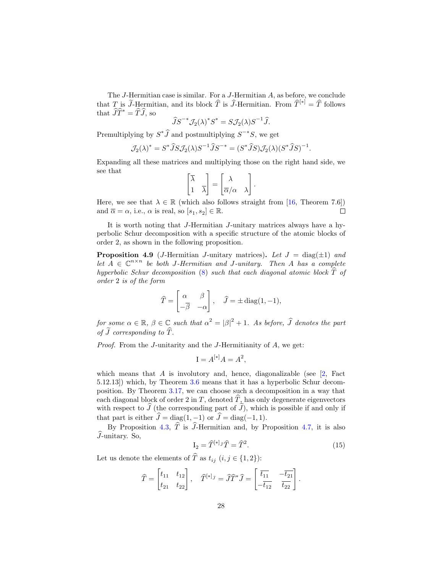The J-Hermitian case is similar. For a J-Hermitian A, as before, we conclude that T is  $\widetilde{J}$ -Hermitian, and its block  $\widehat{T}$  is  $\widehat{J}$ -Hermitian. From  $\widehat{T}^{[*]} = \widehat{T}$  follows that  $\widehat{J}\widehat{T}^* = \widehat{T}\widehat{J}$ , so

$$
\widehat{J}S^{-*}\mathcal{J}_2(\lambda)^*S^* = S\mathcal{J}_2(\lambda)S^{-1}\widehat{J}.
$$

Premultiplying by  $S^*J$  and postmultiplying  $S^{-*}S$ , we get

$$
\mathcal{J}_2(\lambda)^* = S^* \widehat{J} S \mathcal{J}_2(\lambda) S^{-1} \widehat{J} S^{-*} = (S^* \widehat{J} S) \mathcal{J}_2(\lambda) (S^* \widehat{J} S)^{-1}.
$$

Expanding all these matrices and multiplying those on the right hand side, we see that

$$
\begin{bmatrix} \overline{\lambda} \\ 1 & \overline{\lambda} \end{bmatrix} = \begin{bmatrix} \lambda \\ \overline{\alpha}/\alpha & \lambda \end{bmatrix}.
$$

Here, we see that  $\lambda \in \mathbb{R}$  (which also follows straight from [\[16](#page-33-5), Theorem 7.6]) and  $\overline{\alpha} = \alpha$ , i.e.,  $\alpha$  is real, so  $[s_1, s_2] \in \mathbb{R}$ .  $\Box$ 

It is worth noting that J-Hermitian J-unitary matrices always have a hyperbolic Schur decomposition with a specific structure of the atomic blocks of order 2, as shown in the following proposition.

**Proposition 4.9** (*J*-Hermitian *J*-unitary matrices). Let  $J = \text{diag}(\pm 1)$  and let  $A \in \mathbb{C}^{n \times n}$  be both J-Hermitian and J-unitary. Then A has a complete hyperbolic Schur decomposition [\(8\)](#page-11-1) such that each diagonal atomic block  $\widehat{T}$  of order 2 is of the form

$$
\widehat{T} = \begin{bmatrix} \alpha & \beta \\ -\overline{\beta} & -\alpha \end{bmatrix}, \quad \widehat{J} = \pm \operatorname{diag}(1, -1),
$$

for some  $\alpha \in \mathbb{R}$ ,  $\beta \in \mathbb{C}$  such that  $\alpha^2 = |\beta|^2 + 1$ . As before,  $\widehat{J}$  denotes the part of  $\widetilde{J}$  corresponding to  $\widehat{T}$ .

Proof. From the J-unitarity and the J-Hermitianity of A, we get:

$$
\mathbf{I} = A^{[*]}A = A^2,
$$

which means that  $A$  is involutory and, hence, diagonalizable (see  $[2,$  Fact 5.12.13]) which, by Theorem [3.6](#page-12-2) means that it has a hyperbolic Schur decomposition. By Theorem [3.17,](#page-23-0) we can choose such a decomposition in a way that each diagonal block of order 2 in T, denoted  $\hat{T}$ , has only degenerate eigenvectors with respect to  $J$  (the corresponding part of  $J$ ), which is possible if and only if that part is either  $\hat{J} = \text{diag}(1, -1)$  or  $\hat{J} = \text{diag}(-1, 1)$ .

By Proposition [4.3,](#page-25-1)  $\hat{T}$  is  $\hat{J}$ -Hermitian and, by Proposition [4.7,](#page-26-2) it is also  $\widehat{J}$ -unitary. So,

<span id="page-28-0"></span>
$$
\mathcal{I}_2 = \widehat{T}^{[*]}\widehat{f} = \widehat{T}^2.
$$
\n(15)

Let us denote the elements of  $\widehat{T}$  as  $t_{ij}$   $(i, j \in \{1, 2\})$ :

$$
\widehat{T} = \begin{bmatrix} t_{11} & t_{12} \\ t_{21} & t_{22} \end{bmatrix}, \quad \widehat{T}^{[*]}\widehat{\jmath} = \widehat{J}\widehat{T}^*\widehat{J} = \begin{bmatrix} \overline{t_{11}} & -\overline{t_{21}} \\ -\overline{t_{12}} & \overline{t_{22}} \end{bmatrix}.
$$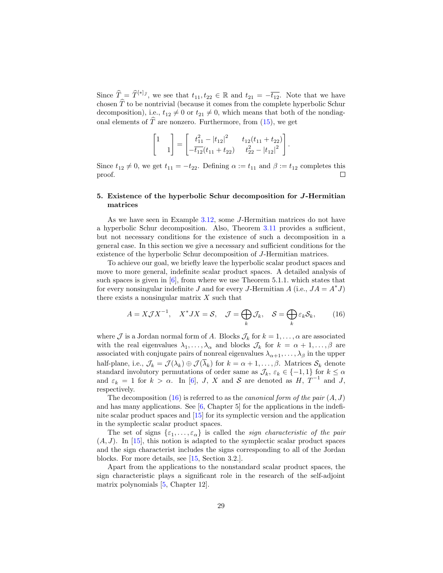Since  $\widehat{T}_{\widehat{c}} = \widehat{T}^{[*]}\widehat{\jmath}$ , we see that  $t_{11}, t_{22} \in \mathbb{R}$  and  $t_{21} = -\overline{t_{12}}$ . Note that we have chosen  $\widehat{T}$  to be nontrivial (because it comes from the complete hyperbolic Schur decomposition), i.e.,  $t_{12} \neq 0$  or  $t_{21} \neq 0$ , which means that both of the nondiagonal elements of  $\hat{T}$  are nonzero. Furthermore, from [\(15\)](#page-28-0), we get

$$
\begin{bmatrix} 1 \\ 1 \end{bmatrix} = \begin{bmatrix} t_{11}^2 - |t_{12}|^2 & t_{12}(t_{11} + t_{22}) \\ -\overline{t_{12}}(t_{11} + t_{22}) & t_{22}^2 - |t_{12}|^2 \end{bmatrix}.
$$

Since  $t_{12} \neq 0$ , we get  $t_{11} = -t_{22}$ . Defining  $\alpha := t_{11}$  and  $\beta := t_{12}$  completes this proof.  $\Box$ 

# 5. Existence of the hyperbolic Schur decomposition for J-Hermitian matrices

As we have seen in Example [3.12,](#page-19-0) some J-Hermitian matrices do not have a hyperbolic Schur decomposition. Also, Theorem [3.11](#page-16-0) provides a sufficient, but not necessary conditions for the existence of such a decomposition in a general case. In this section we give a necessary and sufficient conditions for the existence of the hyperbolic Schur decomposition of J-Hermitian matrices.

To achieve our goal, we briefly leave the hyperbolic scalar product spaces and move to more general, indefinite scalar product spaces. A detailed analysis of such spaces is given in  $[6]$ , from where we use Theorem 5.1.1. which states that for every nonsingular indefinite J and for every J-Hermitian A (i.e.,  $JA = A^*J$ ) there exists a nonsingular matrix  $X$  such that

<span id="page-29-0"></span>
$$
A = X \mathcal{J} X^{-1}, \quad X^* J X = \mathcal{S}, \quad \mathcal{J} = \bigoplus_k \mathcal{J}_k, \quad \mathcal{S} = \bigoplus_k \varepsilon_k \mathcal{S}_k,\tag{16}
$$

where J is a Jordan normal form of A. Blocks  $\mathcal{J}_k$  for  $k = 1, \ldots, \alpha$  are associated with the real eigenvalues  $\lambda_1, \ldots, \lambda_\alpha$  and blocks  $\mathcal{J}_k$  for  $k = \alpha + 1, \ldots, \beta$  are associated with conjugate pairs of nonreal eigenvalues  $\lambda_{\alpha+1}, \ldots, \lambda_{\beta}$  in the upper half-plane, i.e.,  $\mathcal{J}_k = \mathcal{J}(\lambda_k) \oplus \mathcal{J}(\overline{\lambda}_k)$  for  $k = \alpha + 1, \ldots, \beta$ . Matrices  $\mathcal{S}_k$  denote standard involutory permutations of order same as  $\mathcal{J}_k$ ,  $\varepsilon_k \in \{-1,1\}$  for  $k \leq \alpha$ and  $\varepsilon_k = 1$  for  $k > \alpha$ . In [\[6\]](#page-33-9), J, X and S are denoted as H,  $T^{-1}$  and J, respectively.

The decomposition [\(16\)](#page-29-0) is referred to as the *canonical form of the pair*  $(A, J)$ and has many applications. See [\[6](#page-33-9), Chapter 5] for the applications in the indefinite scalar product spaces and [\[15\]](#page-33-8) for its symplectic version and the application in the symplectic scalar product spaces.

The set of signs  $\{\varepsilon_1,\ldots,\varepsilon_{\alpha}\}\$  is called the *sign characteristic of the pair*  $(A, J)$ . In [\[15](#page-33-8)], this notion is adapted to the symplectic scalar product spaces and the sign characterist includes the signs corresponding to all of the Jordan blocks. For more details, see [\[15,](#page-33-8) Section 3.2.].

Apart from the applications to the nonstandard scalar product spaces, the sign characteristic plays a significant role in the research of the self-adjoint matrix polynomials [\[5](#page-33-14), Chapter 12].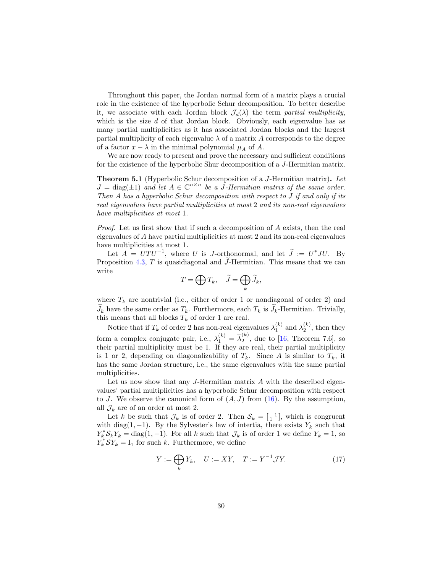Throughout this paper, the Jordan normal form of a matrix plays a crucial role in the existence of the hyperbolic Schur decomposition. To better describe it, we associate with each Jordan block  $\mathcal{J}_d(\lambda)$  the term partial multiplicity, which is the size  $d$  of that Jordan block. Obviously, each eigenvalue has as many partial multiplicities as it has associated Jordan blocks and the largest partial multiplicity of each eigenvalue  $\lambda$  of a matrix A corresponds to the degree of a factor  $x - \lambda$  in the minimal polynomial  $\mu_A$  of A.

We are now ready to present and prove the necessary and sufficient conditions for the existence of the hyperbolic Shur decomposition of a J-Hermitian matrix.

Theorem 5.1 (Hyperbolic Schur decomposition of a J-Hermitian matrix). Let  $J = \text{diag}(\pm 1)$  and let  $A \in \mathbb{C}^{n \times n}$  be a J-Hermitian matrix of the same order. Then A has a hyperbolic Schur decomposition with respect to J if and only if its real eigenvalues have partial multiplicities at most 2 and its non-real eigenvalues have multiplicities at most 1.

Proof. Let us first show that if such a decomposition of A exists, then the real eigenvalues of A have partial multiplicities at most 2 and its non-real eigenvalues have multiplicities at most 1.

Let  $A = UTU^{-1}$ , where U is J-orthonormal, and let  $\tilde{J} := U^*JU$ . By Proposition [4.3,](#page-25-1) T is quasidiagonal and  $\widetilde{J}$ -Hermitian. This means that we can write

$$
T=\bigoplus T_k,\quad \widetilde{J}=\bigoplus_k\widetilde{J}_k,
$$

where  $T_k$  are nontrivial (i.e., either of order 1 or nondiagonal of order 2) and  $J_k$  have the same order as  $T_k$ . Furthermore, each  $T_k$  is  $J_k$ -Hermitian. Trivially, this means that all blocks  $T_k$  of order 1 are real.

Notice that if  $T_k$  of order 2 has non-real eigenvalues  $\lambda_1^{(k)}$  and  $\lambda_2^{(k)}$ , then they form a complex conjugate pair, i.e.,  $\lambda_1^{(k)} = \overline{\lambda}_2^{(k)}$  $2^{\binom{n}{2}}$ , due to [\[16,](#page-33-5) Theorem 7.6], so their partial multiplicity must be 1. If they are real, their partial multiplicity is 1 or 2, depending on diagonalizability of  $T_k$ . Since A is similar to  $T_k$ , it has the same Jordan structure, i.e., the same eigenvalues with the same partial multiplicities.

Let us now show that any  $J$ -Hermitian matrix  $\Lambda$  with the described eigenvalues' partial multiplicities has a hyperbolic Schur decomposition with respect to J. We observe the canonical form of  $(A, J)$  from  $(16)$ . By the assumption, all  $\mathcal{J}_k$  are of an order at most 2.

Let k be such that  $\mathcal{J}_k$  is of order 2. Then  $\mathcal{S}_k = \begin{bmatrix} 1 & 1 \end{bmatrix}$ , which is congruent with diag(1, -1). By the Sylvester's law of intertia, there exists  $Y_k$  such that  $Y_k^* \mathcal{S}_k Y_k = \text{diag}(1, -1)$ . For all k such that  $\mathcal{J}_k$  is of order 1 we define  $Y_k = 1$ , so  $Y_k^*$  $\mathcal{S}Y_k = I_1$  for such k. Furthermore, we define

<span id="page-30-0"></span>
$$
Y := \bigoplus_{k} Y_k, \quad U := XY, \quad T := Y^{-1} \mathcal{J} Y. \tag{17}
$$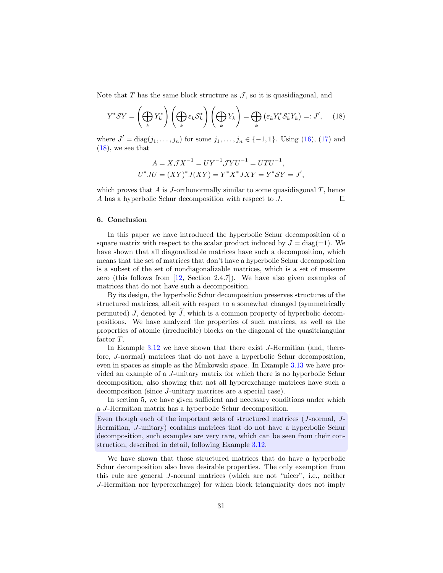Note that  $T$  has the same block structure as  $\mathcal{J}$ , so it is quasidiagonal, and

<span id="page-31-0"></span>
$$
Y^*SY = \left(\bigoplus_k Y_k^*\right)\left(\bigoplus_k \varepsilon_k S_k^*\right)\left(\bigoplus_k Y_k\right) = \bigoplus_k \left(\varepsilon_k Y_k^* S_k^* Y_k\right) =: J',\quad(18)
$$

where  $J' = diag(j_1, ..., j_n)$  for some  $j_1, ..., j_n \in \{-1, 1\}$ . Using [\(16\)](#page-29-0), [\(17\)](#page-30-0) and  $(18)$ , we see that

$$
A = X \mathcal{J} X^{-1} = U Y^{-1} \mathcal{J} Y U^{-1} = U T U^{-1},
$$
  

$$
U^* J U = (XY)^* J (XY) = Y^* X^* J XY = Y^* S Y = J',
$$

which proves that  $A$  is  $J$ -orthonormally similar to some quasidiagonal  $T$ , hence A has a hyperbolic Schur decomposition with respect to J.  $\Box$ 

# 6. Conclusion

In this paper we have introduced the hyperbolic Schur decomposition of a square matrix with respect to the scalar product induced by  $J = \text{diag}(\pm 1)$ . We have shown that all diagonalizable matrices have such a decomposition, which means that the set of matrices that don't have a hyperbolic Schur decomposition is a subset of the set of nondiagonalizable matrices, which is a set of measure zero (this follows from  $[12, \text{ Section } 2.4.7]$ ). We have also given examples of matrices that do not have such a decomposition.

By its design, the hyperbolic Schur decomposition preserves structures of the structured matrices, albeit with respect to a somewhat changed (symmetrically permuted) J, denoted by  $\tilde{J}$ , which is a common property of hyperbolic decompositions. We have analyzed the properties of such matrices, as well as the properties of atomic (irreducible) blocks on the diagonal of the quasitriangular factor T.

In Example [3.12](#page-19-0) we have shown that there exist J-Hermitian (and, therefore, J-normal) matrices that do not have a hyperbolic Schur decomposition, even in spaces as simple as the Minkowski space. In Example [3.13](#page-21-0) we have provided an example of a J-unitary matrix for which there is no hyperbolic Schur decomposition, also showing that not all hyperexchange matrices have such a decomposition (since J-unitary matrices are a special case).

In section 5, we have given sufficient and necessary conditions under which a J-Hermitian matrix has a hyperbolic Schur decomposition.

Even though each of the important sets of structured matrices (J-normal, J-Hermitian, J-unitary) contains matrices that do not have a hyperbolic Schur decomposition, such examples are very rare, which can be seen from their construction, described in detail, following Example [3.12.](#page-19-0)

We have shown that those structured matrices that do have a hyperbolic Schur decomposition also have desirable properties. The only exemption from this rule are general J-normal matrices (which are not "nicer", i.e., neither J-Hermitian nor hyperexchange) for which block triangularity does not imply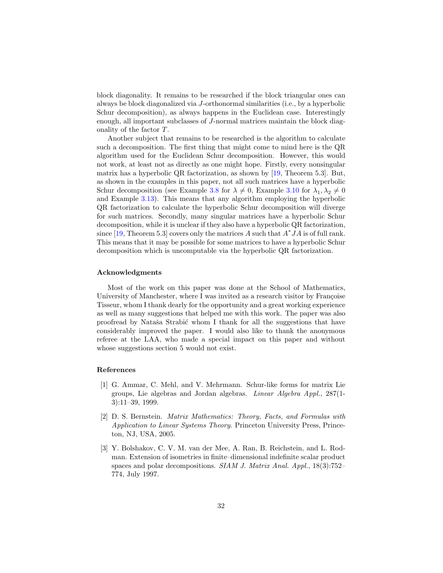block diagonality. It remains to be researched if the block triangular ones can always be block diagonalized via J-orthonormal similarities (i.e., by a hyperbolic Schur decomposition), as always happens in the Euclidean case. Interestingly enough, all important subclasses of J-normal matrices maintain the block diagonality of the factor T.

Another subject that remains to be researched is the algorithm to calculate such a decomposition. The first thing that might come to mind here is the QR algorithm used for the Euclidean Schur decomposition. However, this would not work, at least not as directly as one might hope. Firstly, every nonsingular matrix has a hyperbolic QR factorization, as shown by [\[19,](#page-34-2) Theorem 5.3]. But, as shown in the examples in this paper, not all such matrices have a hyperbolic Schur decomposition (see Example [3.8](#page-13-0) for  $\lambda \neq 0$ , Example [3.10](#page-15-1) for  $\lambda_1, \lambda_2 \neq 0$ and Example [3.13\)](#page-21-0). This means that any algorithm employing the hyperbolic QR factorization to calculate the hyperbolic Schur decomposition will diverge for such matrices. Secondly, many singular matrices have a hyperbolic Schur decomposition, while it is unclear if they also have a hyperbolic QR factorization, since [\[19,](#page-34-2) Theorem 5.3] covers only the matrices A such that  $A^*JA$  is of full rank. This means that it may be possible for some matrices to have a hyperbolic Schur decomposition which is uncomputable via the hyperbolic QR factorization.

#### Acknowledgments

Most of the work on this paper was done at the School of Mathematics, University of Manchester, where I was invited as a research visitor by Francoise Tisseur, whom I thank dearly for the opportunity and a great working experience as well as many suggestions that helped me with this work. The paper was also proofread by Nataša Strabić whom I thank for all the suggestions that have considerably improved the paper. I would also like to thank the anonymous referee at the LAA, who made a special impact on this paper and without whose suggestions section 5 would not exist.

#### References

- <span id="page-32-0"></span>[1] G. Ammar, C. Mehl, and V. Mehrmann. Schur-like forms for matrix Lie groups, Lie algebras and Jordan algebras. Linear Algebra Appl., 287(1- 3):11–39, 1999.
- <span id="page-32-2"></span>[2] D. S. Bernstein. Matrix Mathematics: Theory, Facts, and Formulas with Application to Linear Systems Theory. Princeton University Press, Princeton, NJ, USA, 2005.
- <span id="page-32-1"></span>[3] Y. Bolshakov, C. V. M. van der Mee, A. Ran, B. Reichstein, and L. Rodman. Extension of isometries in finite–dimensional indefinite scalar product spaces and polar decompositions. SIAM J. Matrix Anal. Appl., 18(3):752– 774, July 1997.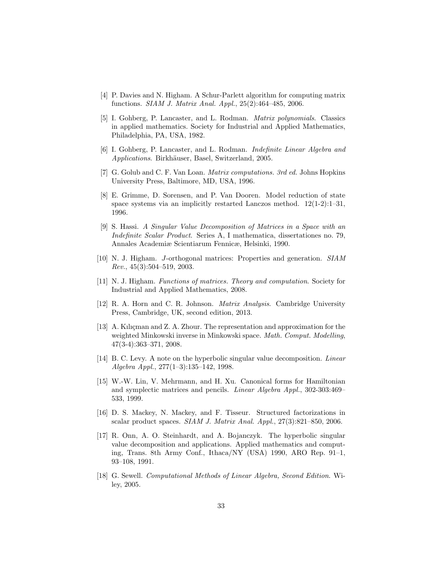- <span id="page-33-13"></span>[4] P. Davies and N. Higham. A Schur-Parlett algorithm for computing matrix functions. SIAM J. Matrix Anal. Appl., 25(2):464–485, 2006.
- <span id="page-33-14"></span>[5] I. Gohberg, P. Lancaster, and L. Rodman. Matrix polynomials. Classics in applied mathematics. Society for Industrial and Applied Mathematics, Philadelphia, PA, USA, 1982.
- <span id="page-33-9"></span>[6] I. Gohberg, P. Lancaster, and L. Rodman. Indefinite Linear Algebra and Applications. Birkhäuser, Basel, Switzerland, 2005.
- <span id="page-33-12"></span>[7] G. Golub and C. F. Van Loan. Matrix computations. 3rd ed. Johns Hopkins University Press, Baltimore, MD, USA, 1996.
- <span id="page-33-7"></span>[8] E. Grimme, D. Sorensen, and P. Van Dooren. Model reduction of state space systems via an implicitly restarted Lanczos method.  $12(1-2):1-31$ , 1996.
- <span id="page-33-6"></span>[9] S. Hassi. A Singular Value Decomposition of Matrices in a Space with an Indefinite Scalar Product. Series A, I mathematica, dissertationes no. 79, Annales Academiæ Scientiarum Fennicæ, Helsinki, 1990.
- <span id="page-33-1"></span>[10] N. J. Higham. J-orthogonal matrices: Properties and generation. SIAM  $Rev., 45(3):504-519, 2003.$
- <span id="page-33-0"></span>[11] N. J. Higham. Functions of matrices. Theory and computation. Society for Industrial and Applied Mathematics, 2008.
- <span id="page-33-11"></span>[12] R. A. Horn and C. R. Johnson. Matrix Analysis. Cambridge University Press, Cambridge, UK, second edition, 2013.
- <span id="page-33-2"></span>[13] A. Kılıçman and Z. A. Zhour. The representation and approximation for the weighted Minkowski inverse in Minkowski space. Math. Comput. Modelling, 47(3-4):363–371, 2008.
- <span id="page-33-3"></span>[14] B. C. Levy. A note on the hyperbolic singular value decomposition. Linear Algebra Appl., 277(1–3):135–142, 1998.
- <span id="page-33-8"></span>[15] W.-W. Lin, V. Mehrmann, and H. Xu. Canonical forms for Hamiltonian and symplectic matrices and pencils. Linear Algebra Appl., 302-303:469– 533, 1999.
- <span id="page-33-5"></span>[16] D. S. Mackey, N. Mackey, and F. Tisseur. Structured factorizations in scalar product spaces. SIAM J. Matrix Anal. Appl., 27(3):821–850, 2006.
- <span id="page-33-4"></span>[17] R. Onn, A. O. Steinhardt, and A. Bojanczyk. The hyperbolic singular value decomposition and applications. Applied mathematics and computing, Trans. 8th Army Conf., Ithaca/NY (USA) 1990, ARO Rep. 91–1, 93–108, 1991.
- <span id="page-33-10"></span>[18] G. Sewell. Computational Methods of Linear Algebra, Second Edition. Wiley, 2005.